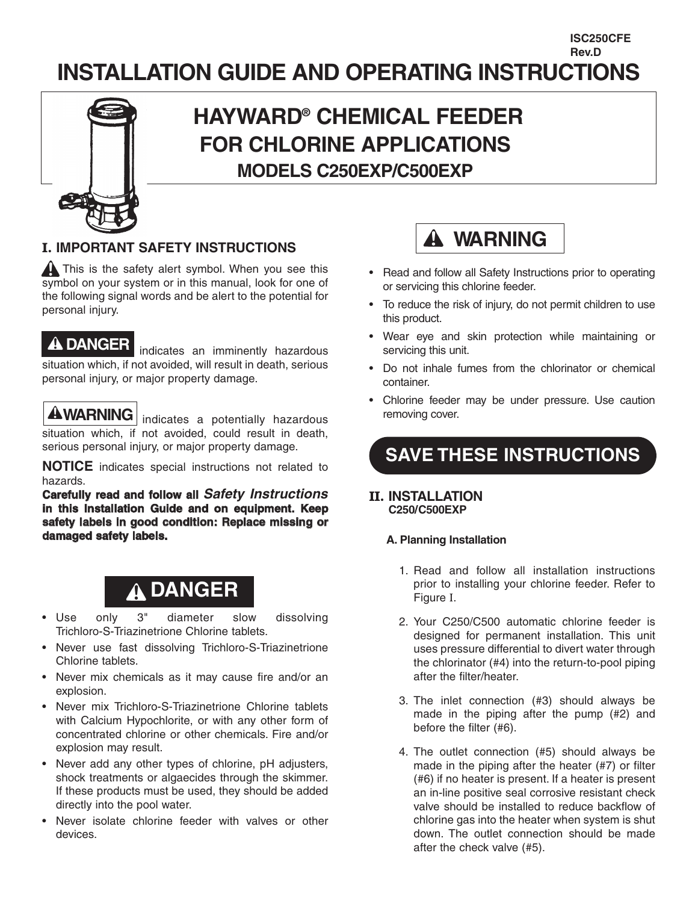# **INSTALLATION GUIDE AND OPERATING INSTRUCTIONS**



# **HAYWARD® CHEMICAL FEEDER FOR CHLORINE APPLICATIONS MODELS C250EXP/C500EXP**

### **I. IMPORTANT SAFETY INSTRUCTIONS**

**A** This is the safety alert symbol. When you see this symbol on your system or in this manual, look for one of the following signal words and be alert to the potential for personal injury.

### **DANGER**

indicates an imminently hazardous situation which, if not avoided, will result in death, serious personal injury, or major property damage.

**AWARNING** indicates a potentially hazardous situation which, if not avoided, could result in death, serious personal injury, or major property damage.

**NOTICE** indicates special instructions not related to hazards.

**Carefully read and follow all** *Safety Instructions* **in this Installation Guide and on equipment. Keep safety labels in good condition: Replace missing or damaged safety labels.**

# **DANGER**

- Use only 3" diameter slow dissolving Trichloro-S-Triazinetrione Chlorine tablets.
- Never use fast dissolving Trichloro-S-Triazinetrione Chlorine tablets.
- Never mix chemicals as it may cause fire and/or an explosion.
- Never mix Trichloro-S-Triazinetrione Chlorine tablets with Calcium Hypochlorite, or with any other form of concentrated chlorine or other chemicals. Fire and/or explosion may result.
- Never add any other types of chlorine, pH adjusters, shock treatments or algaecides through the skimmer. If these products must be used, they should be added directly into the pool water.
- Never isolate chlorine feeder with valves or other devices.



• Read and follow all Safety Instructions prior to operating or servicing this chlorine feeder.

**ISC250CFE Rev.D**

- To reduce the risk of injury, do not permit children to use this product.
- Wear eye and skin protection while maintaining or servicing this unit.
- Do not inhale fumes from the chlorinator or chemical container.
- Chlorine feeder may be under pressure. Use caution removing cover.

# **SAVE THESE INSTRUCTIONS**

### **II. INSTALLATION C250/C500EXP**

### **A. Planning Installation**

- 1. Read and follow all installation instructions prior to installing your chlorine feeder. Refer to Figure I.
- 2. Your C250/C500 automatic chlorine feeder is designed for permanent installation. This unit uses pressure differential to divert water through the chlorinator (#4) into the return-to-pool piping after the filter/heater.
- 3. The inlet connection (#3) should always be made in the piping after the pump (#2) and before the filter (#6).
- 4. The outlet connection (#5) should always be made in the piping after the heater (#7) or filter (#6) if no heater is present. If a heater is present an in-line positive seal corrosive resistant check valve should be installed to reduce backflow of chlorine gas into the heater when system is shut down. The outlet connection should be made after the check valve (#5).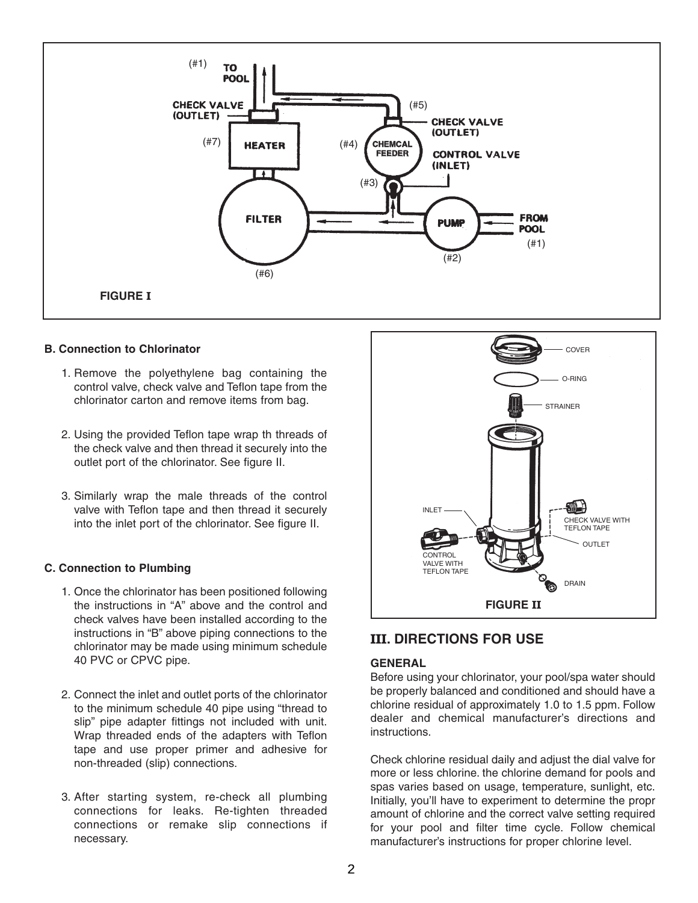

#### **B. Connection to Chlorinator**

- 1. Remove the polyethylene bag containing the control valve, check valve and Teflon tape from the chlorinator carton and remove items from bag.
- 2. Using the provided Teflon tape wrap th threads of the check valve and then thread it securely into the outlet port of the chlorinator. See figure II.
- 3. Similarly wrap the male threads of the control valve with Teflon tape and then thread it securely into the inlet port of the chlorinator. See figure II.

#### **C. Connection to Plumbing**

- 1. Once the chlorinator has been positioned following the instructions in "A" above and the control and check valves have been installed according to the instructions in "B" above piping connections to the chlorinator may be made using minimum schedule 40 PVC or CPVC pipe.
- 2. Connect the inlet and outlet ports of the chlorinator to the minimum schedule 40 pipe using "thread to slip" pipe adapter fittings not included with unit. Wrap threaded ends of the adapters with Teflon tape and use proper primer and adhesive for non-threaded (slip) connections.
- 3. After starting system, re-check all plumbing connections for leaks. Re-tighten threaded connections or remake slip connections if necessary.



### **III. DIRECTIONS FOR USE**

#### **GENERAL**

Before using your chlorinator, your pool/spa water should be properly balanced and conditioned and should have a chlorine residual of approximately 1.0 to 1.5 ppm. Follow dealer and chemical manufacturer's directions and instructions.

Check chlorine residual daily and adjust the dial valve for more or less chlorine. the chlorine demand for pools and spas varies based on usage, temperature, sunlight, etc. Initially, you'll have to experiment to determine the propr amount of chlorine and the correct valve setting required for your pool and filter time cycle. Follow chemical manufacturer's instructions for proper chlorine level.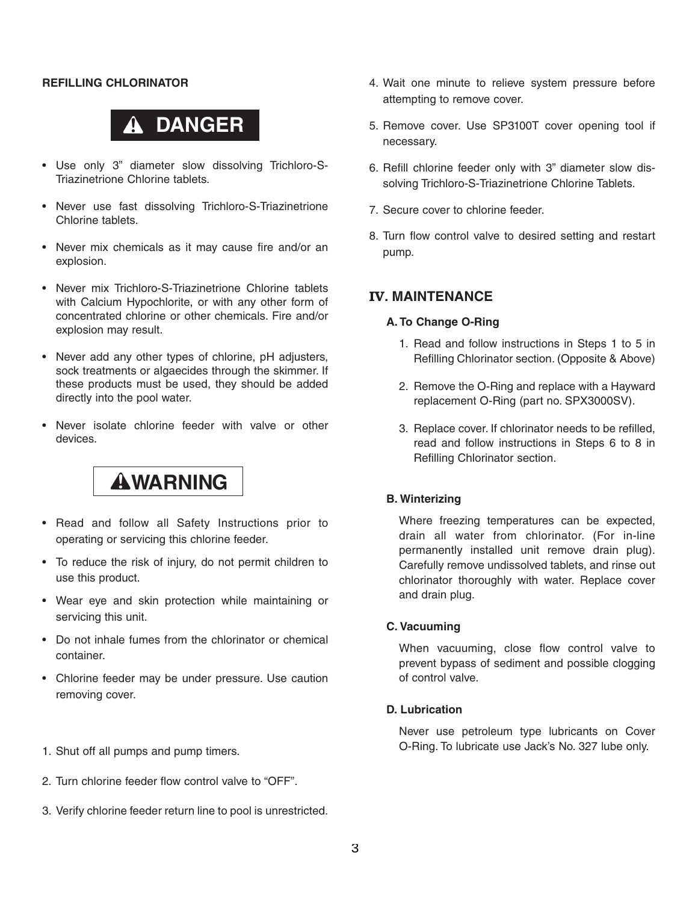#### **REFILLING CHLORINATOR**

# **DANGER**

- Use only 3" diameter slow dissolving Trichloro-S-Triazinetrione Chlorine tablets.
- Never use fast dissolving Trichloro-S-Triazinetrione Chlorine tablets.
- Never mix chemicals as it may cause fire and/or an explosion.
- Never mix Trichloro-S-Triazinetrione Chlorine tablets with Calcium Hypochlorite, or with any other form of concentrated chlorine or other chemicals. Fire and/or explosion may result.
- Never add any other types of chlorine, pH adjusters, sock treatments or algaecides through the skimmer. If these products must be used, they should be added directly into the pool water.
- Never isolate chlorine feeder with valve or other devices.

# **WARNING**

- Read and follow all Safety Instructions prior to operating or servicing this chlorine feeder.
- To reduce the risk of injury, do not permit children to use this product.
- Wear eye and skin protection while maintaining or servicing this unit.
- Do not inhale fumes from the chlorinator or chemical container.
- Chlorine feeder may be under pressure. Use caution removing cover.
- 1. Shut off all pumps and pump timers.
- 2. Turn chlorine feeder flow control valve to "OFF".
- 3. Verify chlorine feeder return line to pool is unrestricted.
- 4. Wait one minute to relieve system pressure before attempting to remove cover.
- 5. Remove cover. Use SP3100T cover opening tool if necessary.
- 6. Refill chlorine feeder only with 3" diameter slow dissolving Trichloro-S-Triazinetrione Chlorine Tablets.
- 7. Secure cover to chlorine feeder.
- 8. Turn flow control valve to desired setting and restart pump.

#### **IV. MAINTENANCE**

#### **A. To Change O-Ring**

- 1. Read and follow instructions in Steps 1 to 5 in Refilling Chlorinator section. (Opposite & Above)
- 2. Remove the O-Ring and replace with a Hayward replacement O-Ring (part no. SPX3000SV).
- 3. Replace cover. If chlorinator needs to be refilled, read and follow instructions in Steps 6 to 8 in Refilling Chlorinator section.

#### **B. Winterizing**

Where freezing temperatures can be expected, drain all water from chlorinator. (For in-line permanently installed unit remove drain plug). Carefully remove undissolved tablets, and rinse out chlorinator thoroughly with water. Replace cover and drain plug.

#### **C. Vacuuming**

When vacuuming, close flow control valve to prevent bypass of sediment and possible clogging of control valve.

#### **D. Lubrication**

Never use petroleum type lubricants on Cover O-Ring. To lubricate use Jack's No. 327 lube only.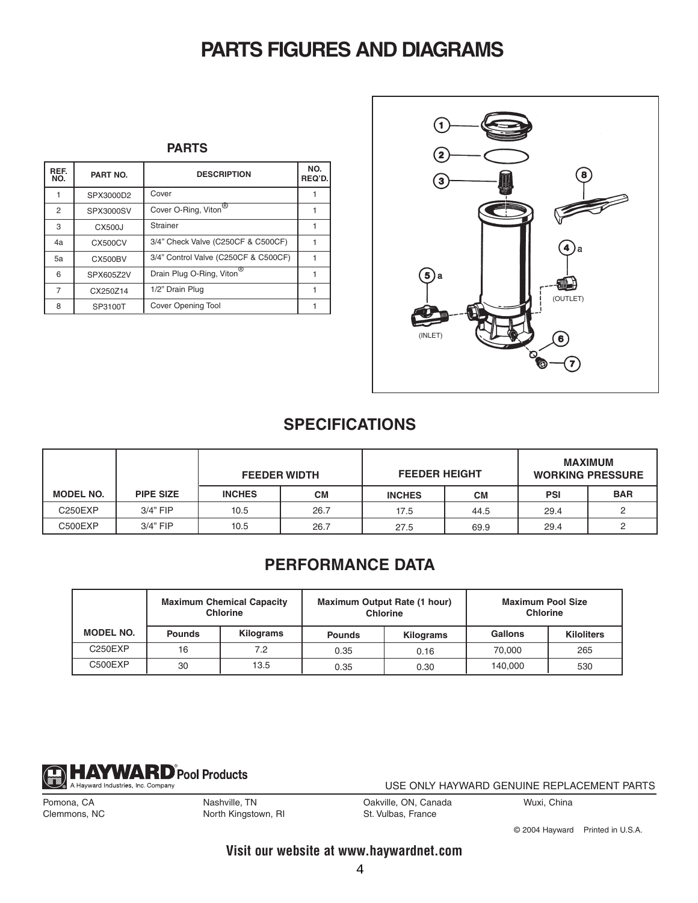# **PARTS FIGURES AND DIAGRAMS**

**PARTS**

| REF.<br>NO. | PART NO.       | <b>DESCRIPTION</b>                    | NO.<br>REQ'D. |
|-------------|----------------|---------------------------------------|---------------|
|             | SPX3000D2      | Cover                                 |               |
| 2           | SPX3000SV      | Cover O-Ring, Viton <sup>®</sup>      |               |
| 3           | CX500J         | Strainer                              |               |
| 4a          | CX500CV        | 3/4" Check Valve (C250CF & C500CF)    |               |
| 5a          | <b>CX500BV</b> | 3/4" Control Valve (C250CF & C500CF)  |               |
| 6           | SPX605Z2V      | Drain Plug O-Ring, Viton <sup>®</sup> |               |
| 7           | CX250Z14       | 1/2" Drain Plug                       |               |
| 8           | SP3100T        | Cover Opening Tool                    |               |



### **SPECIFICATIONS**

|                  |                  | <b>FEEDER WIDTH</b> |           | <b>FEEDER HEIGHT</b> |           | <b>MAXIMUM</b><br><b>WORKING PRESSURE</b> |            |
|------------------|------------------|---------------------|-----------|----------------------|-----------|-------------------------------------------|------------|
| <b>MODEL NO.</b> | <b>PIPE SIZE</b> | <b>INCHES</b>       | <b>CM</b> | <b>INCHES</b>        | <b>CM</b> | <b>PSI</b>                                | <b>BAR</b> |
| C250EXP          | $3/4"$ FIP       | 10.5                | 26.7      | 17.5                 | 44.5      | 29.4                                      |            |
| C500EXP          | $3/4"$ FIP       | 10.5                | 26.7      | 27.5                 | 69.9      | 29.4                                      |            |

### **PERFORMANCE DATA**

|                  | <b>Maximum Chemical Capacity</b><br><b>Chlorine</b> |           |               | Maximum Output Rate (1 hour)<br><b>Chlorine</b> | <b>Maximum Pool Size</b><br><b>Chlorine</b> |                   |
|------------------|-----------------------------------------------------|-----------|---------------|-------------------------------------------------|---------------------------------------------|-------------------|
| <b>MODEL NO.</b> | <b>Pounds</b>                                       | Kilograms | <b>Pounds</b> | Kilograms                                       | Gallons                                     | <b>Kiloliters</b> |
| C250EXP          | 16                                                  | 7.2       | 0.35          | 0.16                                            | 70.000                                      | 265               |
| C500EXP          | 30                                                  | 13.5      | 0.35          | 0.30                                            | 140.000                                     | 530               |



USE ONLY HAYWARD GENUINE REPLACEMENT PARTS

Pomona, CA Clemmons, NC Nashville, TN North Kingstown, RI Oakville, ON, Canada St. Vulbas, France

Wuxi, China

© 2004 Hayward Printed in U.S.A.

**Visit our website at www.haywardnet.com**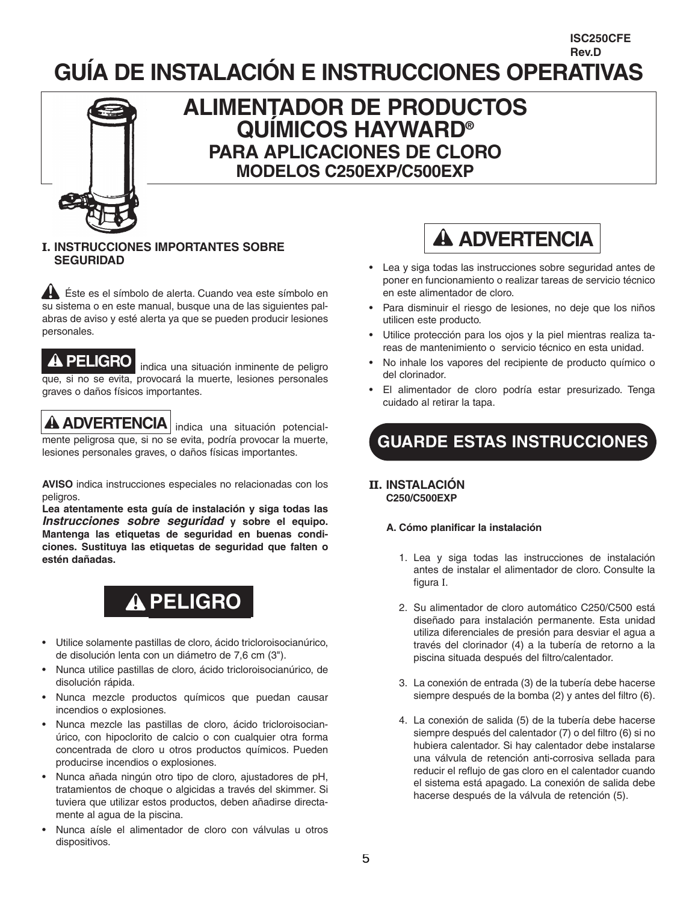### **GUÍA DE INSTALACIÓN E INSTRUCCIONES OPERATIVAS Rev.D**



## **ALIMENTADOR DE PRODUCTOS QUÍMICOS HAYWARD® PARA APLICACIONES DE CLORO MODELOS C250EXP/C500EXP**

#### **I. INSTRUCCIONES IMPORTANTES SOBRE SEGURIDAD**

Éste es el símbolo de alerta. Cuando vea este símbolo en su sistema o en este manual, busque una de las siguientes palabras de aviso y esté alerta ya que se pueden producir lesiones personales.

### **A PELIGRO**

indica una situación inminente de peligro que, si no se evita, provocará la muerte, lesiones personales graves o daños físicos importantes.

## **ADVERTENCIA** indica una situación potencial-

mente peligrosa que, si no se evita, podría provocar la muerte, lesiones personales graves, o daños físicas importantes.

**AVISO** indica instrucciones especiales no relacionadas con los peligros.

**Lea atentamente esta guía de instalación y siga todas las** *Instrucciones sobre seguridad* **y sobre el equipo. Mantenga las etiquetas de seguridad en buenas condiciones. Sustituya las etiquetas de seguridad que falten o estén dañadas.**

# **PELIGRO**

- Utilice solamente pastillas de cloro, ácido tricloroisocianúrico, de disolución lenta con un diámetro de 7,6 cm (3").
- Nunca utilice pastillas de cloro, ácido tricloroisocianúrico, de disolución rápida.
- Nunca mezcle productos químicos que puedan causar incendios o explosiones.
- Nunca mezcle las pastillas de cloro, ácido tricloroisocianúrico, con hipoclorito de calcio o con cualquier otra forma concentrada de cloro u otros productos químicos. Pueden producirse incendios o explosiones.
- Nunca añada ningún otro tipo de cloro, ajustadores de pH, tratamientos de choque o algicidas a través del skimmer. Si tuviera que utilizar estos productos, deben añadirse directamente al agua de la piscina.
- Nunca aísle el alimentador de cloro con válvulas u otros dispositivos.



**ISC250CFE**

- Lea y siga todas las instrucciones sobre seguridad antes de poner en funcionamiento o realizar tareas de servicio técnico en este alimentador de cloro.
- Para disminuir el riesgo de lesiones, no deje que los niños utilicen este producto.
- Utilice protección para los ojos y la piel mientras realiza tareas de mantenimiento o servicio técnico en esta unidad.
- No inhale los vapores del recipiente de producto químico o del clorinador.
- El alimentador de cloro podría estar presurizado. Tenga cuidado al retirar la tapa.

# **GUARDE ESTAS INSTRUCCIONES**

#### **II. INSTALACIÓN C250/C500EXP**

#### **A. Cómo planificar la instalación**

- 1. Lea y siga todas las instrucciones de instalación antes de instalar el alimentador de cloro. Consulte la figura I.
- 2. Su alimentador de cloro automático C250/C500 está diseñado para instalación permanente. Esta unidad utiliza diferenciales de presión para desviar el agua a través del clorinador (4) a la tubería de retorno a la piscina situada después del filtro/calentador.
- 3. La conexión de entrada (3) de la tubería debe hacerse siempre después de la bomba (2) y antes del filtro (6).
- 4. La conexión de salida (5) de la tubería debe hacerse siempre después del calentador (7) o del filtro (6) si no hubiera calentador. Si hay calentador debe instalarse una válvula de retención anti-corrosiva sellada para reducir el reflujo de gas cloro en el calentador cuando el sistema está apagado. La conexión de salida debe hacerse después de la válvula de retención (5).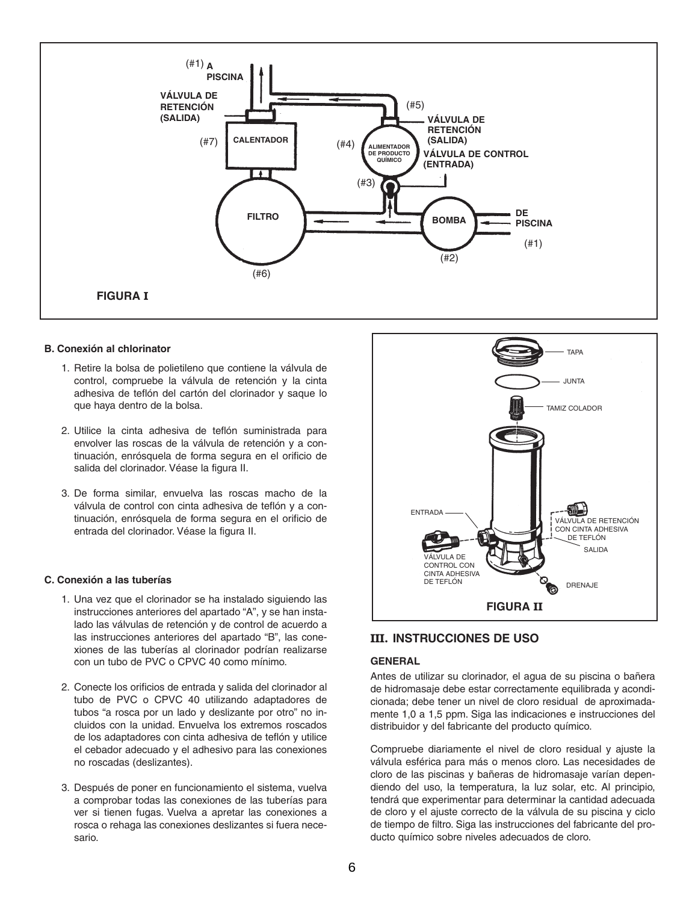

#### **B. Conexión al chlorinator**

- 1. Retire la bolsa de polietileno que contiene la válvula de control, compruebe la válvula de retención y la cinta adhesiva de teflón del cartón del clorinador y saque lo que haya dentro de la bolsa.
- 2. Utilice la cinta adhesiva de teflón suministrada para envolver las roscas de la válvula de retención y a continuación, enrósquela de forma segura en el orificio de salida del clorinador. Véase la figura II.
- 3. De forma similar, envuelva las roscas macho de la válvula de control con cinta adhesiva de teflón y a continuación, enrósquela de forma segura en el orificio de entrada del clorinador. Véase la figura II.

#### **C. Conexión a las tuberías**

- 1. Una vez que el clorinador se ha instalado siguiendo las instrucciones anteriores del apartado "A", y se han instalado las válvulas de retención y de control de acuerdo a las instrucciones anteriores del apartado "B", las conexiones de las tuberías al clorinador podrían realizarse con un tubo de PVC o CPVC 40 como mínimo.
- 2. Conecte los orificios de entrada y salida del clorinador al tubo de PVC o CPVC 40 utilizando adaptadores de tubos "a rosca por un lado y deslizante por otro" no incluidos con la unidad. Envuelva los extremos roscados de los adaptadores con cinta adhesiva de teflón y utilice el cebador adecuado y el adhesivo para las conexiones no roscadas (deslizantes).
- 3. Después de poner en funcionamiento el sistema, vuelva a comprobar todas las conexiones de las tuberías para ver si tienen fugas. Vuelva a apretar las conexiones a rosca o rehaga las conexiones deslizantes si fuera necesario.



#### **III. INSTRUCCIONES DE USO**

#### **GENERAL**

Antes de utilizar su clorinador, el agua de su piscina o bañera de hidromasaje debe estar correctamente equilibrada y acondicionada; debe tener un nivel de cloro residual de aproximadamente 1,0 a 1,5 ppm. Siga las indicaciones e instrucciones del distribuidor y del fabricante del producto químico.

Compruebe diariamente el nivel de cloro residual y ajuste la válvula esférica para más o menos cloro. Las necesidades de cloro de las piscinas y bañeras de hidromasaje varían dependiendo del uso, la temperatura, la luz solar, etc. Al principio, tendrá que experimentar para determinar la cantidad adecuada de cloro y el ajuste correcto de la válvula de su piscina y ciclo de tiempo de filtro. Siga las instrucciones del fabricante del producto químico sobre niveles adecuados de cloro.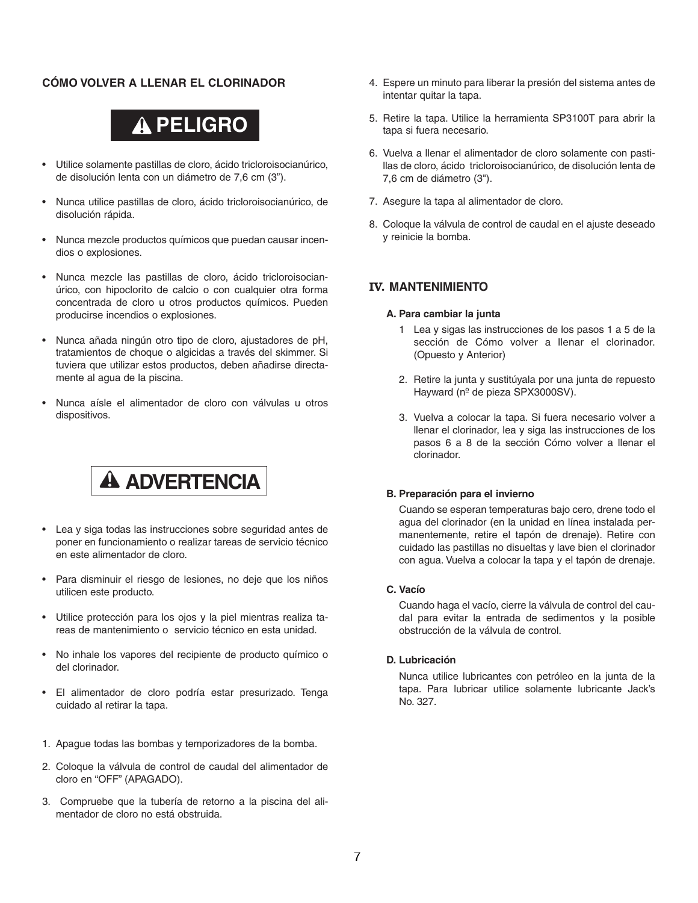#### **CÓMO VOLVER A LLENAR EL CLORINADOR**



- Utilice solamente pastillas de cloro, ácido tricloroisocianúrico, de disolución lenta con un diámetro de 7,6 cm (3").
- Nunca utilice pastillas de cloro, ácido tricloroisocianúrico, de disolución rápida.
- Nunca mezcle productos químicos que puedan causar incendios o explosiones.
- Nunca mezcle las pastillas de cloro, ácido tricloroisocianúrico, con hipoclorito de calcio o con cualquier otra forma concentrada de cloro u otros productos químicos. Pueden producirse incendios o explosiones.
- Nunca añada ningún otro tipo de cloro, ajustadores de pH, tratamientos de choque o algicidas a través del skimmer. Si tuviera que utilizar estos productos, deben añadirse directamente al agua de la piscina.
- Nunca aísle el alimentador de cloro con válvulas u otros dispositivos.

# **A ADVERTENCIA**

- Lea y siga todas las instrucciones sobre seguridad antes de poner en funcionamiento o realizar tareas de servicio técnico en este alimentador de cloro.
- Para disminuir el riesgo de lesiones, no deje que los niños utilicen este producto.
- Utilice protección para los ojos y la piel mientras realiza tareas de mantenimiento o servicio técnico en esta unidad.
- No inhale los vapores del recipiente de producto químico o del clorinador.
- El alimentador de cloro podría estar presurizado. Tenga cuidado al retirar la tapa.
- 1. Apague todas las bombas y temporizadores de la bomba.
- 2. Coloque la válvula de control de caudal del alimentador de cloro en "OFF" (APAGADO).
- 3. Compruebe que la tubería de retorno a la piscina del alimentador de cloro no está obstruida.
- 4. Espere un minuto para liberar la presión del sistema antes de intentar quitar la tapa.
- 5. Retire la tapa. Utilice la herramienta SP3100T para abrir la tapa si fuera necesario.
- 6. Vuelva a llenar el alimentador de cloro solamente con pastillas de cloro, ácido tricloroisocianúrico, de disolución lenta de 7,6 cm de diámetro (3").
- 7. Asegure la tapa al alimentador de cloro.
- 8. Coloque la válvula de control de caudal en el ajuste deseado y reinicie la bomba.

#### **IV. MANTENIMIENTO**

#### **A. Para cambiar la junta**

- 1 Lea y sigas las instrucciones de los pasos 1 a 5 de la sección de Cómo volver a llenar el clorinador. (Opuesto y Anterior)
- 2. Retire la junta y sustitúyala por una junta de repuesto Hayward (nº de pieza SPX3000SV).
- 3. Vuelva a colocar la tapa. Si fuera necesario volver a llenar el clorinador, lea y siga las instrucciones de los pasos 6 a 8 de la sección Cómo volver a llenar el clorinador.

#### **B. Preparación para el invierno**

Cuando se esperan temperaturas bajo cero, drene todo el agua del clorinador (en la unidad en línea instalada permanentemente, retire el tapón de drenaje). Retire con cuidado las pastillas no disueltas y lave bien el clorinador con agua. Vuelva a colocar la tapa y el tapón de drenaje.

#### **C. Vacío**

Cuando haga el vacío, cierre la válvula de control del caudal para evitar la entrada de sedimentos y la posible obstrucción de la válvula de control.

#### **D. Lubricación**

Nunca utilice lubricantes con petróleo en la junta de la tapa. Para lubricar utilice solamente lubricante Jack's No. 327.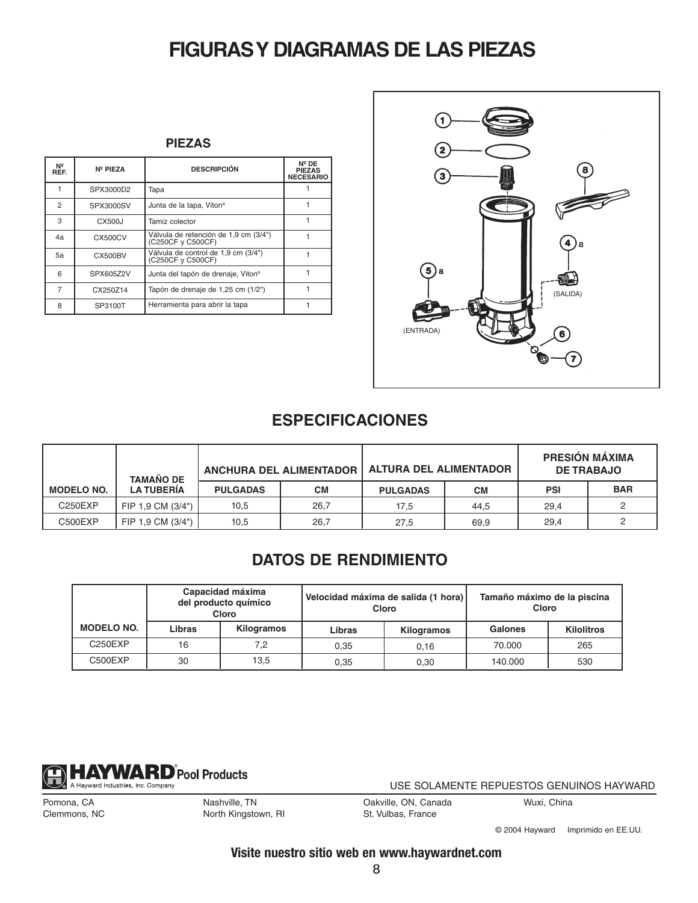# **FIGURASY DIAGRAMAS DE LAS PIEZAS**

| Nº<br>REF.     | Nº PIEZA       | <b>DESCRIPCIÓN</b>                                         | $N^{\circ}$ DE<br><b>PIEZAS</b><br><b>NECESARIO</b> |
|----------------|----------------|------------------------------------------------------------|-----------------------------------------------------|
|                | SPX3000D2      | Tapa                                                       |                                                     |
| $\mathfrak{p}$ | SPX3000SV      | Junta de la tapa, Viton <sup>®</sup>                       |                                                     |
| 3              | CX500J         | Tamiz colector                                             |                                                     |
| 4a             | CX500CV        | Válvula de retención de 1,9 cm (3/4")<br>(C250CF y C500CF) |                                                     |
| 5а             | <b>CX500BV</b> | Válvula de control de 1,9 cm (3/4")<br>(C250CF v C500CF)   |                                                     |
| 6              | SPX605Z2V      | Junta del tapón de drenaje, Viton®                         |                                                     |
| 7              | CX250Z14       | Tapón de drenaje de 1,25 cm (1/2")                         |                                                     |
| 8              | SP3100T        | Herramienta para abrir la tapa                             |                                                     |



### **ESPECIFICACIONES**

|                   | <b>TAMAÑO DE</b>  |                 | <b>ANCHURA DEL ALIMENTADOR</b> | <b>ALTURA DEL ALIMENTADOR</b> |      | <b>PRESIÓN MÁXIMA</b><br><b>DE TRABAJO</b> |            |
|-------------------|-------------------|-----------------|--------------------------------|-------------------------------|------|--------------------------------------------|------------|
| <b>MODELO NO.</b> | <b>LA TUBERÍA</b> | <b>PULGADAS</b> | <b>CM</b>                      | <b>PULGADAS</b>               | CМ   | <b>PSI</b>                                 | <b>BAR</b> |
| C250EXP           | FIP 1.9 CM (3/4") | 10,5            | 26.7                           | 17,5                          | 44.5 | 29.4                                       |            |
| C500EXP           | FIP 1.9 CM (3/4") | 10.5            | 26,7                           | 27,5                          | 69.9 | 29,4                                       |            |

### **DATOS DE RENDIMIENTO**

|                   | Capacidad máxima<br>del producto químico<br>Cloro |            |        | Velocidad máxima de salida (1 hora)<br>Cloro | Tamaño máximo de la piscina<br>Cloro |                   |
|-------------------|---------------------------------------------------|------------|--------|----------------------------------------------|--------------------------------------|-------------------|
| <b>MODELO NO.</b> | Libras                                            | Kilogramos | Libras | Kilogramos                                   | Galones                              | <b>Kilolitros</b> |
| C250EXP           | 16                                                | 7.2        | 0.35   | 0.16                                         | 70.000                               | 265               |
| C500EXP           | 30                                                | 13,5       | 0.35   | 0.30                                         | 140.000                              | 530               |



USE SOLAMENTE REPUESTOS GENUINOS HAYWARD

Pomona, CA Clemmons, NC Nashville, TN North Kingstown, RI Oakville, ON, Canada St. Vulbas, France

Wuxi, China

© 2004 Hayward Imprimido en EE.UU.

**Visite nuestro sitio web en www.haywardnet.com**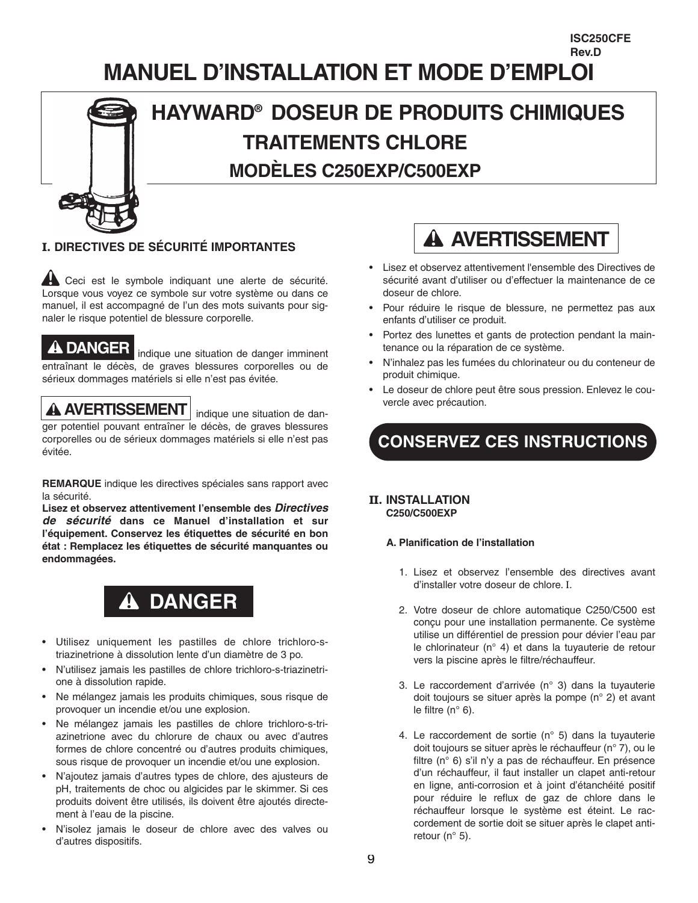### **MANUEL D'INSTALLATION ET MODE D'EMPLOI Rev.D**

# **HAYWARD® DOSEUR DE PRODUITS CHIMIQUES TRAITEMENTS CHLORE MODÈLES C250EXP/C500EXP**

### **I. DIRECTIVES DE SÉCURITÉ IMPORTANTES**

A Ceci est le symbole indiquant une alerte de sécurité. Lorsque vous voyez ce symbole sur votre système ou dans ce manuel, il est accompagné de l'un des mots suivants pour signaler le risque potentiel de blessure corporelle.

**DANGER** indique une situation de danger imminent entraînant le décès, de graves blessures corporelles ou de sérieux dommages matériels si elle n'est pas évitée.

**AVERTISSEMENT** indique une situation de danger potentiel pouvant entraîner le décès, de graves blessures corporelles ou de sérieux dommages matériels si elle n'est pas évitée.

**REMARQUE** indique les directives spéciales sans rapport avec la sécurité.

**Lisez et observez attentivement l'ensemble des** *Directives de sécurité* **dans ce Manuel d'installation et sur l'équipement. Conservez les étiquettes de sécurité en bon état : Remplacez les étiquettes de sécurité manquantes ou endommagées.**



- Utilisez uniquement les pastilles de chlore trichloro-striazinetrione à dissolution lente d'un diamètre de 3 po.
- N'utilisez jamais les pastilles de chlore trichloro-s-triazinetrione à dissolution rapide.
- Ne mélangez jamais les produits chimiques, sous risque de provoquer un incendie et/ou une explosion.
- Ne mélangez jamais les pastilles de chlore trichloro-s-triazinetrione avec du chlorure de chaux ou avec d'autres formes de chlore concentré ou d'autres produits chimiques, sous risque de provoquer un incendie et/ou une explosion.
- N'ajoutez jamais d'autres types de chlore, des ajusteurs de pH, traitements de choc ou algicides par le skimmer. Si ces produits doivent être utilisés, ils doivent être ajoutés directement à l'eau de la piscine.
- N'isolez jamais le doseur de chlore avec des valves ou d'autres dispositifs.

# **A AVERTISSEMENT**

**ISC250CFE**

- Lisez et observez attentivement l'ensemble des Directives de sécurité avant d'utiliser ou d'effectuer la maintenance de ce doseur de chlore.
- Pour réduire le risque de blessure, ne permettez pas aux enfants d'utiliser ce produit.
- Portez des lunettes et gants de protection pendant la maintenance ou la réparation de ce système.
- N'inhalez pas les fumées du chlorinateur ou du conteneur de produit chimique.
- Le doseur de chlore peut être sous pression. Enlevez le couvercle avec précaution.

**CONSERVEZ CES INSTRUCTIONS**

#### **II. INSTALLATION C250/C500EXP**

#### **A. Planification de l'installation**

- 1. Lisez et observez l'ensemble des directives avant d'installer votre doseur de chlore. I.
- 2. Votre doseur de chlore automatique C250/C500 est conçu pour une installation permanente. Ce système utilise un différentiel de pression pour dévier l'eau par le chlorinateur (n° 4) et dans la tuyauterie de retour vers la piscine après le filtre/réchauffeur.
- 3. Le raccordement d'arrivée (n° 3) dans la tuyauterie doit toujours se situer après la pompe (n° 2) et avant le filtre (n° 6).
- 4. Le raccordement de sortie (n° 5) dans la tuyauterie doit toujours se situer après le réchauffeur (n° 7), ou le filtre (n° 6) s'il n'y a pas de réchauffeur. En présence d'un réchauffeur, il faut installer un clapet anti-retour en ligne, anti-corrosion et à joint d'étanchéité positif pour réduire le reflux de gaz de chlore dans le réchauffeur lorsque le système est éteint. Le raccordement de sortie doit se situer après le clapet antiretour (n° 5).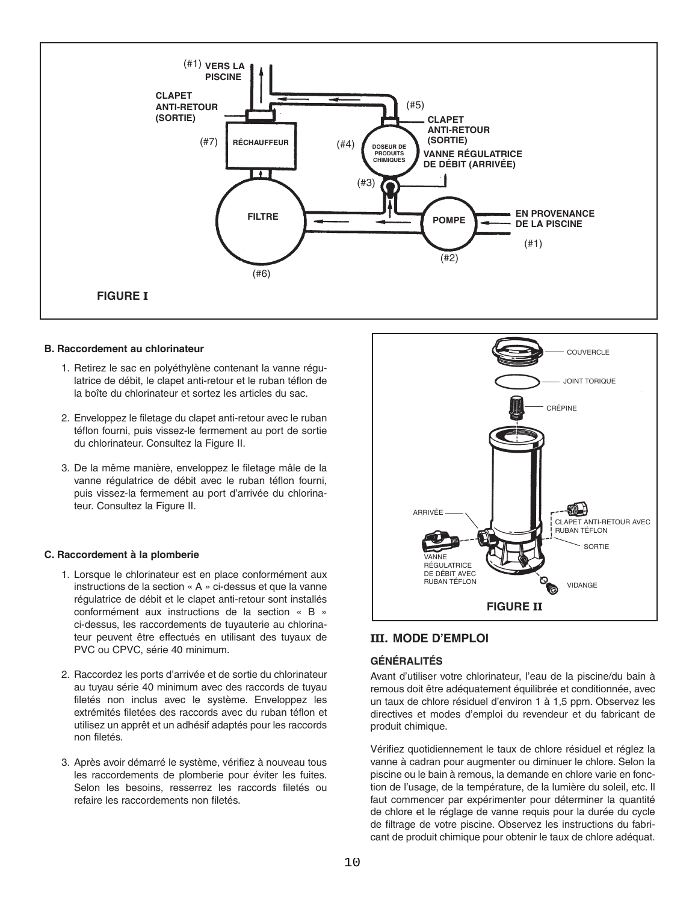

#### **B. Raccordement au chlorinateur**

- 1. Retirez le sac en polyéthylène contenant la vanne régulatrice de débit, le clapet anti-retour et le ruban téflon de la boîte du chlorinateur et sortez les articles du sac.
- 2. Enveloppez le filetage du clapet anti-retour avec le ruban téflon fourni, puis vissez-le fermement au port de sortie du chlorinateur. Consultez la Figure II.
- 3. De la même manière, enveloppez le filetage mâle de la vanne régulatrice de débit avec le ruban téflon fourni, puis vissez-la fermement au port d'arrivée du chlorinateur. Consultez la Figure II.

#### **C. Raccordement à la plomberie**

- 1. Lorsque le chlorinateur est en place conformément aux instructions de la section « A » ci-dessus et que la vanne régulatrice de débit et le clapet anti-retour sont installés conformément aux instructions de la section « B » ci-dessus, les raccordements de tuyauterie au chlorinateur peuvent être effectués en utilisant des tuyaux de PVC ou CPVC, série 40 minimum.
- 2. Raccordez les ports d'arrivée et de sortie du chlorinateur au tuyau série 40 minimum avec des raccords de tuyau filetés non inclus avec le système. Enveloppez les extrémités filetées des raccords avec du ruban téflon et utilisez un apprêt et un adhésif adaptés pour les raccords non filetés.
- 3. Après avoir démarré le système, vérifiez à nouveau tous les raccordements de plomberie pour éviter les fuites. Selon les besoins, resserrez les raccords filetés ou refaire les raccordements non filetés.



#### **III. MODE D'EMPLOI**

#### **GÉNÉRALITÉS**

Avant d'utiliser votre chlorinateur, l'eau de la piscine/du bain à remous doit être adéquatement équilibrée et conditionnée, avec un taux de chlore résiduel d'environ 1 à 1,5 ppm. Observez les directives et modes d'emploi du revendeur et du fabricant de produit chimique.

Vérifiez quotidiennement le taux de chlore résiduel et réglez la vanne à cadran pour augmenter ou diminuer le chlore. Selon la piscine ou le bain à remous, la demande en chlore varie en fonction de l'usage, de la température, de la lumière du soleil, etc. Il faut commencer par expérimenter pour déterminer la quantité de chlore et le réglage de vanne requis pour la durée du cycle de filtrage de votre piscine. Observez les instructions du fabricant de produit chimique pour obtenir le taux de chlore adéquat.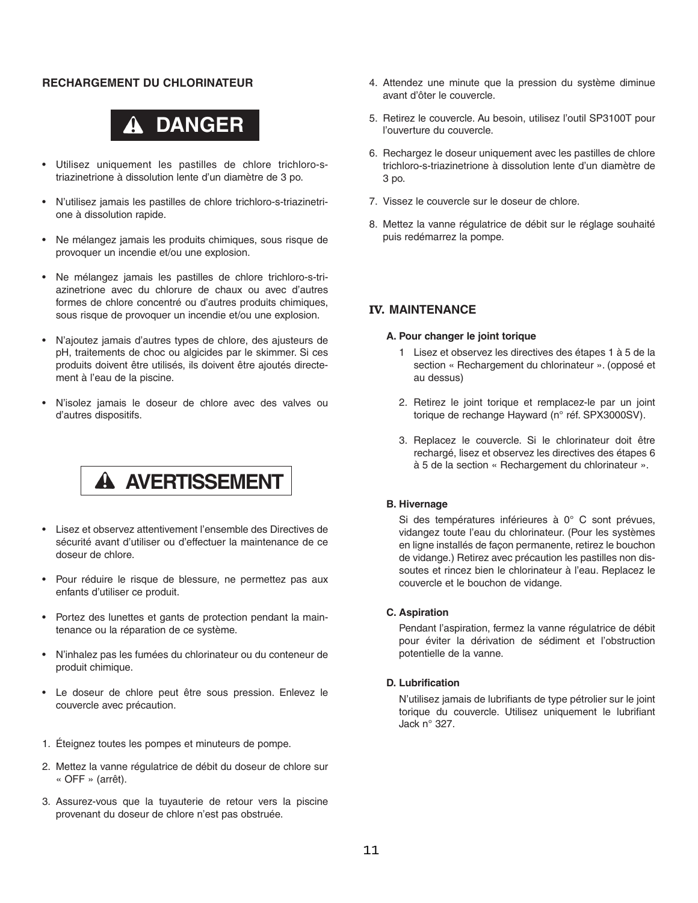#### **RECHARGEMENT DU CHLORINATEUR**



- Utilisez uniquement les pastilles de chlore trichloro-striazinetrione à dissolution lente d'un diamètre de 3 po.
- N'utilisez jamais les pastilles de chlore trichloro-s-triazinetrione à dissolution rapide.
- Ne mélangez jamais les produits chimiques, sous risque de provoquer un incendie et/ou une explosion.
- Ne mélangez jamais les pastilles de chlore trichloro-s-triazinetrione avec du chlorure de chaux ou avec d'autres formes de chlore concentré ou d'autres produits chimiques, sous risque de provoquer un incendie et/ou une explosion.
- N'ajoutez jamais d'autres types de chlore, des ajusteurs de pH, traitements de choc ou algicides par le skimmer. Si ces produits doivent être utilisés, ils doivent être ajoutés directement à l'eau de la piscine.
- N'isolez jamais le doseur de chlore avec des valves ou d'autres dispositifs.

# **A AVERTISSEMENT**

- Lisez et observez attentivement l'ensemble des Directives de sécurité avant d'utiliser ou d'effectuer la maintenance de ce doseur de chlore.
- Pour réduire le risque de blessure, ne permettez pas aux enfants d'utiliser ce produit.
- Portez des lunettes et gants de protection pendant la maintenance ou la réparation de ce système.
- N'inhalez pas les fumées du chlorinateur ou du conteneur de produit chimique.
- Le doseur de chlore peut être sous pression. Enlevez le couvercle avec précaution.
- 1. Éteignez toutes les pompes et minuteurs de pompe.
- 2. Mettez la vanne régulatrice de débit du doseur de chlore sur « OFF » (arrêt).
- 3. Assurez-vous que la tuyauterie de retour vers la piscine provenant du doseur de chlore n'est pas obstruée.
- 4. Attendez une minute que la pression du système diminue avant d'ôter le couvercle.
- 5. Retirez le couvercle. Au besoin, utilisez l'outil SP3100T pour l'ouverture du couvercle.
- 6. Rechargez le doseur uniquement avec les pastilles de chlore trichloro-s-triazinetrione à dissolution lente d'un diamètre de 3 po.
- 7. Vissez le couvercle sur le doseur de chlore.
- 8. Mettez la vanne régulatrice de débit sur le réglage souhaité puis redémarrez la pompe.

#### **IV. MAINTENANCE**

#### **A. Pour changer le joint torique**

- 1 Lisez et observez les directives des étapes 1 à 5 de la section « Rechargement du chlorinateur ». (opposé et au dessus)
- 2. Retirez le joint torique et remplacez-le par un joint torique de rechange Hayward (n° réf. SPX3000SV).
- 3. Replacez le couvercle. Si le chlorinateur doit être rechargé, lisez et observez les directives des étapes 6 à 5 de la section « Rechargement du chlorinateur ».

#### **B. Hivernage**

Si des températures inférieures à 0° C sont prévues, vidangez toute l'eau du chlorinateur. (Pour les systèmes en ligne installés de façon permanente, retirez le bouchon de vidange.) Retirez avec précaution les pastilles non dissoutes et rincez bien le chlorinateur à l'eau. Replacez le couvercle et le bouchon de vidange.

#### **C. Aspiration**

Pendant l'aspiration, fermez la vanne régulatrice de débit pour éviter la dérivation de sédiment et l'obstruction potentielle de la vanne.

#### **D. Lubrification**

N'utilisez jamais de lubrifiants de type pétrolier sur le joint torique du couvercle. Utilisez uniquement le lubrifiant Jack n° 327.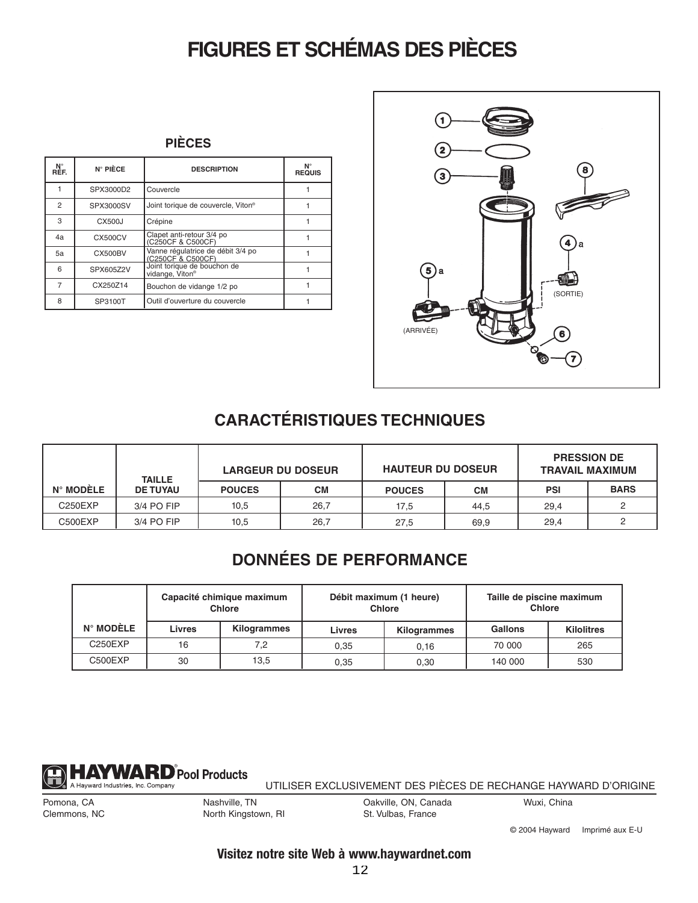# **FIGURES ET SCHÉMAS DES PIÈCES**

| N°<br>Réf.     | N° PIÈCE       | <b>DESCRIPTION</b>                                         | $N^{\circ}$<br><b>REQUIS</b> |
|----------------|----------------|------------------------------------------------------------|------------------------------|
|                | SPX3000D2      | Couvercle                                                  |                              |
| $\overline{2}$ | SPX3000SV      | Joint torique de couvercle, Viton®                         |                              |
| 3              | CX500J         | Crépine                                                    |                              |
| 4a             | CX500CV        | Clapet anti-retour 3/4 po<br>(C250CF & C500CF)             |                              |
| 5а             | <b>CX500BV</b> | Vanne régulatrice de débit 3/4 po<br>(C250CF & C500CF)     |                              |
| 6              | SPX605Z2V      | Joint torique de bouchon de<br>vidange. Viton <sup>®</sup> |                              |
|                | CX250Z14       | Bouchon de vidange 1/2 po                                  |                              |
| 8              | SP3100T        | Outil d'ouverture du couvercle                             |                              |



## **CARACTÉRISTIQUES TECHNIQUES**

|                    | <b>TAILLE</b>   | <b>LARGEUR DU DOSEUR</b> |           | <b>HAUTEUR DU DOSEUR</b> |      | <b>PRESSION DE</b><br><b>TRAVAIL MAXIMUM</b> |             |
|--------------------|-----------------|--------------------------|-----------|--------------------------|------|----------------------------------------------|-------------|
| $N^{\circ}$ MODELE | <b>DE TUYAU</b> | <b>POUCES</b>            | <b>CM</b> | <b>POUCES</b>            | CМ   | <b>PSI</b>                                   | <b>BARS</b> |
| C250EXP            | 3/4 PO FIP      | 10,5                     | 26,7      | 17,5                     | 44.5 | 29,4                                         |             |
| C500EXP            | 3/4 PO FIP      | 10,5                     | 26,7      | 27,5                     | 69,9 | 29.4                                         |             |

## **DONNÉES DE PERFORMANCE**

|                    | Capacité chimique maximum<br><b>Chlore</b> |             |        | Débit maximum (1 heure)<br><b>Chlore</b> | Taille de piscine maximum<br><b>Chlore</b> |                   |
|--------------------|--------------------------------------------|-------------|--------|------------------------------------------|--------------------------------------------|-------------------|
| $N^{\circ}$ MODÈLE | <b>Livres</b>                              | Kilogrammes | Livres | Kilogrammes                              | <b>Gallons</b>                             | <b>Kilolitres</b> |
| C250EXP            | 16                                         | 7,2         | 0.35   | 0.16                                     | 70 000                                     | 265               |
| C500EXP            | 30                                         | 13.5        | 0.35   | 0.30                                     | 140 000                                    | 530               |



UTILISER EXCLUSIVEMENT DES PIÈCES DE RECHANGE HAYWARD D'ORIGINE

Pomona, CA Clemmons, NC Nashville, TN

Oakville, ON, Canada St. Vulbas, France

Wuxi, China

North Kingstown, RI

© 2004 Hayward Imprimé aux E-U

### **Visitez notre site Web à www.haywardnet.com**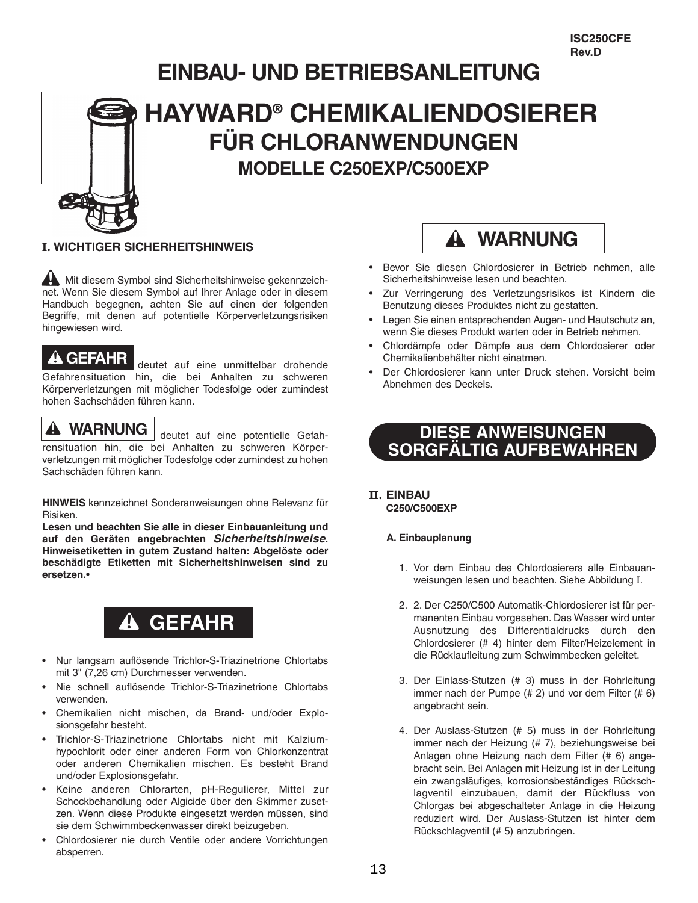# **EINBAU- UND BETRIEBSANLEITUNG**



# **HAYWARD® CHEMIKALIENDOSIERER FÜR CHLORANWENDUNGEN MODELLE C250EXP/C500EXP**

#### **I. WICHTIGER SICHERHEITSHINWEIS**

**And Mit diesem Symbol sind Sicherheitshinweise gekennzeich**net. Wenn Sie diesem Symbol auf Ihrer Anlage oder in diesem Handbuch begegnen, achten Sie auf einen der folgenden Begriffe, mit denen auf potentielle Körperverletzungsrisiken hingewiesen wird.

### **GEFAHR**

deutet auf eine unmittelbar drohende Gefahrensituation hin, die bei Anhalten zu schweren Körperverletzungen mit möglicher Todesfolge oder zumindest hohen Sachschäden führen kann.

### **WARNUNG**

deutet auf eine potentielle Gefahrensituation hin, die bei Anhalten zu schweren Körperverletzungen mit möglicher Todesfolge oder zumindest zu hohen Sachschäden führen kann.

**HINWEIS** kennzeichnet Sonderanweisungen ohne Relevanz für Risiken.

**Lesen und beachten Sie alle in dieser Einbauanleitung und auf den Geräten angebrachten** *Sicherheitshinweise***. Hinweisetiketten in gutem Zustand halten: Abgelöste oder beschädigte Etiketten mit Sicherheitshinweisen sind zu ersetzen.**•

# **GEFAHR**

- Nur langsam auflösende Trichlor-S-Triazinetrione Chlortabs mit 3" (7,26 cm) Durchmesser verwenden.
- Nie schnell auflösende Trichlor-S-Triazinetrione Chlortabs verwenden.
- Chemikalien nicht mischen, da Brand- und/oder Explosionsgefahr besteht.
- Trichlor-S-Triazinetrione Chlortabs nicht mit Kalziumhypochlorit oder einer anderen Form von Chlorkonzentrat oder anderen Chemikalien mischen. Es besteht Brand und/oder Explosionsgefahr.
- Keine anderen Chlorarten, pH-Regulierer, Mittel zur Schockbehandlung oder Algicide über den Skimmer zusetzen. Wenn diese Produkte eingesetzt werden müssen, sind sie dem Schwimmbeckenwasser direkt beizugeben.
- Chlordosierer nie durch Ventile oder andere Vorrichtungen absperren.



- Bevor Sie diesen Chlordosierer in Betrieb nehmen, alle Sicherheitshinweise lesen und beachten.
- Zur Verringerung des Verletzungsrisikos ist Kindern die Benutzung dieses Produktes nicht zu gestatten.
- Legen Sie einen entsprechenden Augen- und Hautschutz an, wenn Sie dieses Produkt warten oder in Betrieb nehmen.
- Chlordämpfe oder Dämpfe aus dem Chlordosierer oder Chemikalienbehälter nicht einatmen.
- Der Chlordosierer kann unter Druck stehen. Vorsicht beim Abnehmen des Deckels.

### **DIESE ANWEISUNGEN SORGFÄLTIG AUFBEWAHREN**

#### **II. EINBAU C250/C500EXP**

#### **A. Einbauplanung**

- 1. Vor dem Einbau des Chlordosierers alle Einbauanweisungen lesen und beachten. Siehe Abbildung I.
- 2. 2. Der C250/C500 Automatik-Chlordosierer ist für permanenten Einbau vorgesehen. Das Wasser wird unter Ausnutzung des Differentialdrucks durch den Chlordosierer (# 4) hinter dem Filter/Heizelement in die Rücklaufleitung zum Schwimmbecken geleitet.
- 3. Der Einlass-Stutzen (# 3) muss in der Rohrleitung immer nach der Pumpe (# 2) und vor dem Filter (# 6) angebracht sein.
- 4. Der Auslass-Stutzen (# 5) muss in der Rohrleitung immer nach der Heizung (# 7), beziehungsweise bei Anlagen ohne Heizung nach dem Filter (# 6) angebracht sein. Bei Anlagen mit Heizung ist in der Leitung ein zwangsläufiges, korrosionsbeständiges Rückschlagventil einzubauen, damit der Rückfluss von Chlorgas bei abgeschalteter Anlage in die Heizung reduziert wird. Der Auslass-Stutzen ist hinter dem Rückschlagventil (# 5) anzubringen.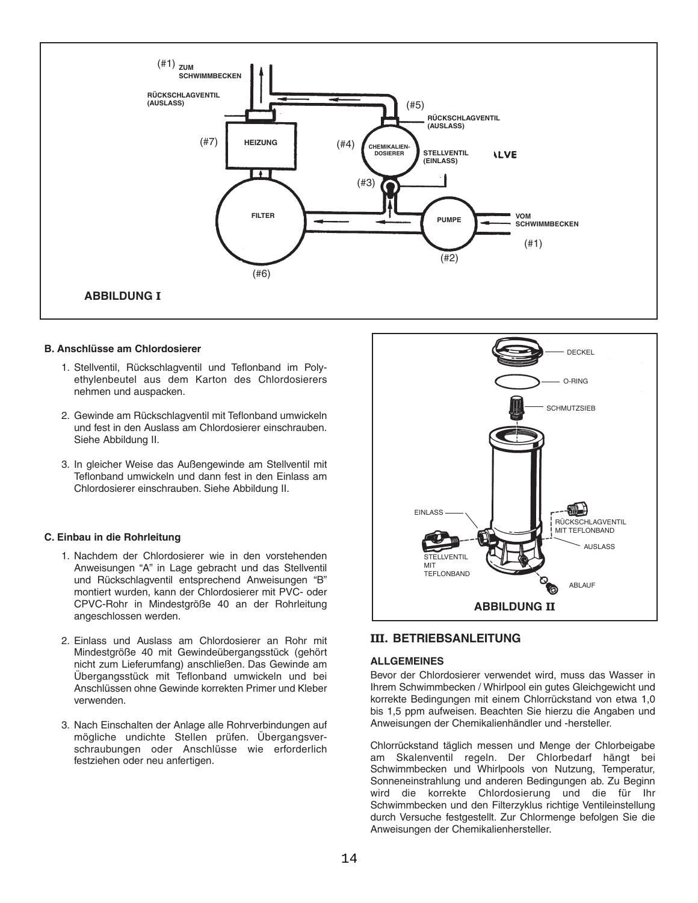

#### **B. Anschlüsse am Chlordosierer**

- 1. Stellventil, Rückschlagventil und Teflonband im Polyethylenbeutel aus dem Karton des Chlordosierers nehmen und auspacken.
- 2. Gewinde am Rückschlagventil mit Teflonband umwickeln und fest in den Auslass am Chlordosierer einschrauben. Siehe Abbildung II.
- 3. In gleicher Weise das Außengewinde am Stellventil mit Teflonband umwickeln und dann fest in den Einlass am Chlordosierer einschrauben. Siehe Abbildung II.

#### **C. Einbau in die Rohrleitung**

- 1. Nachdem der Chlordosierer wie in den vorstehenden Anweisungen "A" in Lage gebracht und das Stellventil und Rückschlagventil entsprechend Anweisungen "B" montiert wurden, kann der Chlordosierer mit PVC- oder CPVC-Rohr in Mindestgröße 40 an der Rohrleitung angeschlossen werden.
- 2. Einlass und Auslass am Chlordosierer an Rohr mit Mindestgröße 40 mit Gewindeübergangsstück (gehört nicht zum Lieferumfang) anschließen. Das Gewinde am Übergangsstück mit Teflonband umwickeln und bei Anschlüssen ohne Gewinde korrekten Primer und Kleber verwenden.
- 3. Nach Einschalten der Anlage alle Rohrverbindungen auf mögliche undichte Stellen prüfen. Übergangsverschraubungen oder Anschlüsse wie erforderlich festziehen oder neu anfertigen.



#### **III. BETRIEBSANLEITUNG**

#### **ALLGEMEINES**

Bevor der Chlordosierer verwendet wird, muss das Wasser in Ihrem Schwimmbecken / Whirlpool ein gutes Gleichgewicht und korrekte Bedingungen mit einem Chlorrückstand von etwa 1,0 bis 1,5 ppm aufweisen. Beachten Sie hierzu die Angaben und Anweisungen der Chemikalienhändler und -hersteller.

Chlorrückstand täglich messen und Menge der Chlorbeigabe am Skalenventil regeln. Der Chlorbedarf hängt bei Schwimmbecken und Whirlpools von Nutzung, Temperatur, Sonneneinstrahlung und anderen Bedingungen ab. Zu Beginn wird die korrekte Chlordosierung und die für Ihr Schwimmbecken und den Filterzyklus richtige Ventileinstellung durch Versuche festgestellt. Zur Chlormenge befolgen Sie die Anweisungen der Chemikalienhersteller.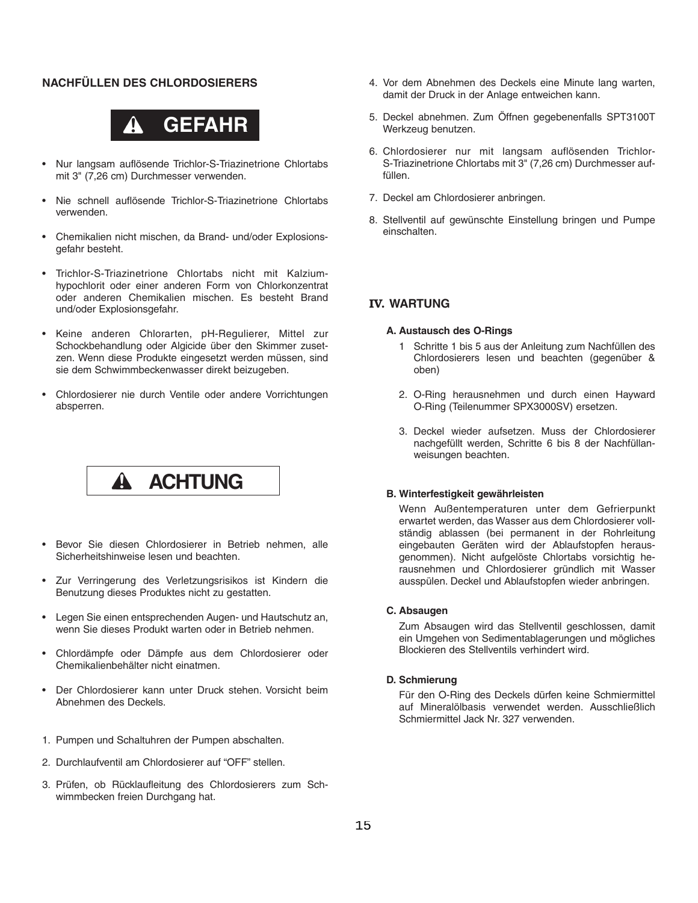#### **NACHFÜLLEN DES CHLORDOSIERERS**



- Nur langsam auflösende Trichlor-S-Triazinetrione Chlortabs mit 3" (7,26 cm) Durchmesser verwenden.
- Nie schnell auflösende Trichlor-S-Triazinetrione Chlortabs verwenden.
- Chemikalien nicht mischen, da Brand- und/oder Explosionsgefahr besteht.
- Trichlor-S-Triazinetrione Chlortabs nicht mit Kalziumhypochlorit oder einer anderen Form von Chlorkonzentrat oder anderen Chemikalien mischen. Es besteht Brand und/oder Explosionsgefahr.
- Keine anderen Chlorarten, pH-Regulierer, Mittel zur Schockbehandlung oder Algicide über den Skimmer zusetzen. Wenn diese Produkte eingesetzt werden müssen, sind sie dem Schwimmbeckenwasser direkt beizugeben.
- Chlordosierer nie durch Ventile oder andere Vorrichtungen absperren.



- Bevor Sie diesen Chlordosierer in Betrieb nehmen, alle Sicherheitshinweise lesen und beachten.
- Zur Verringerung des Verletzungsrisikos ist Kindern die Benutzung dieses Produktes nicht zu gestatten.
- Legen Sie einen entsprechenden Augen- und Hautschutz an, wenn Sie dieses Produkt warten oder in Betrieb nehmen.
- Chlordämpfe oder Dämpfe aus dem Chlordosierer oder Chemikalienbehälter nicht einatmen.
- Der Chlordosierer kann unter Druck stehen. Vorsicht beim Abnehmen des Deckels.
- 1. Pumpen und Schaltuhren der Pumpen abschalten.
- 2. Durchlaufventil am Chlordosierer auf "OFF" stellen.
- 3. Prüfen, ob Rücklaufleitung des Chlordosierers zum Schwimmbecken freien Durchgang hat.
- 4. Vor dem Abnehmen des Deckels eine Minute lang warten, damit der Druck in der Anlage entweichen kann.
- 5. Deckel abnehmen. Zum Öffnen gegebenenfalls SPT3100T Werkzeug benutzen.
- 6. Chlordosierer nur mit langsam auflösenden Trichlor-S-Triazinetrione Chlortabs mit 3" (7,26 cm) Durchmesser auffüllen.
- 7. Deckel am Chlordosierer anbringen.
- 8. Stellventil auf gewünschte Einstellung bringen und Pumpe einschalten.

#### **IV. WARTUNG**

#### **A. Austausch des O-Rings**

- 1 Schritte 1 bis 5 aus der Anleitung zum Nachfüllen des Chlordosierers lesen und beachten (gegenüber & oben)
- 2. O-Ring herausnehmen und durch einen Hayward O-Ring (Teilenummer SPX3000SV) ersetzen.
- 3. Deckel wieder aufsetzen. Muss der Chlordosierer nachgefüllt werden, Schritte 6 bis 8 der Nachfüllanweisungen beachten.

#### **B. Winterfestigkeit gewährleisten**

Wenn Außentemperaturen unter dem Gefrierpunkt erwartet werden, das Wasser aus dem Chlordosierer vollständig ablassen (bei permanent in der Rohrleitung eingebauten Geräten wird der Ablaufstopfen herausgenommen). Nicht aufgelöste Chlortabs vorsichtig herausnehmen und Chlordosierer gründlich mit Wasser ausspülen. Deckel und Ablaufstopfen wieder anbringen.

#### **C. Absaugen**

Zum Absaugen wird das Stellventil geschlossen, damit ein Umgehen von Sedimentablagerungen und mögliches Blockieren des Stellventils verhindert wird.

#### **D. Schmierung**

Für den O-Ring des Deckels dürfen keine Schmiermittel auf Mineralölbasis verwendet werden. Ausschließlich Schmiermittel Jack Nr. 327 verwenden.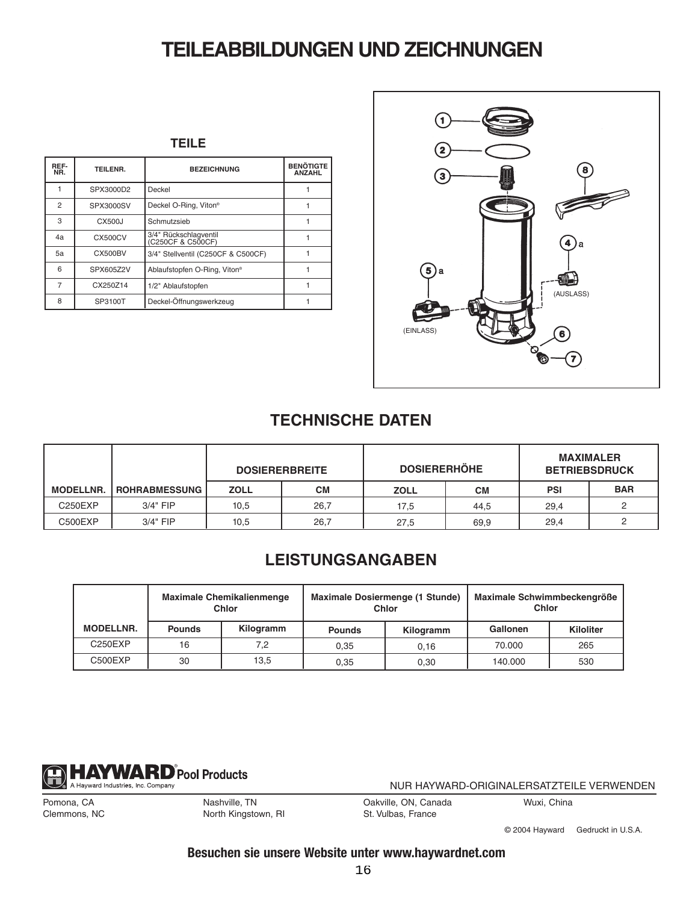# **TEILEABBILDUNGEN UND ZEICHNUNGEN**

| REF-<br>NR.    | TEILENR.       | <b>BEZEICHNUNG</b>                         | <b>BENÖTIGTE</b><br><b>ANZAHL</b> |
|----------------|----------------|--------------------------------------------|-----------------------------------|
|                | SPX3000D2      | Deckel                                     |                                   |
| $\overline{2}$ | SPX3000SV      | Deckel O-Ring, Viton®                      |                                   |
| 3              | CX500J         | Schmutzsieb                                |                                   |
| 4a             | CX500CV        | 3/4" Rückschlagventil<br>(C250CF & C500CF) |                                   |
| 5a             | <b>CX500BV</b> | 3/4" Stellventil (C250CF & C500CF)         |                                   |
| 6              | SPX605Z2V      | Ablaufstopfen O-Ring, Viton®               |                                   |
| 7              | CX250Z14       | 1/2" Ablaufstopfen                         |                                   |
| 8              | SP3100T        | Deckel-Öffnungswerkzeug                    |                                   |



### **TECHNISCHE DATEN**

|                                  |                      | <b>DOSIERERBREITE</b> |      | <b>DOSIERERHÖHE</b> |           | <b>MAXIMALER</b><br><b>BETRIEBSDRUCK</b> |            |
|----------------------------------|----------------------|-----------------------|------|---------------------|-----------|------------------------------------------|------------|
| <b>MODELLNR.</b>                 | <b>ROHRABMESSUNG</b> | <b>ZOLL</b>           | CМ   | <b>ZOLL</b>         | <b>CM</b> | <b>PSI</b>                               | <b>BAR</b> |
| C <sub>250</sub> E <sub>XP</sub> | $3/4"$ FIP           | 10,5                  | 26,7 | 17,5                | 44.5      | 29.4                                     |            |
| C500EXP                          | 3/4" FIP             | 10,5                  | 26,7 | 27,5                | 69,9      | 29,4                                     |            |

### **LEISTUNGSANGABEN**

|                  | <b>Maximale Chemikalienmenge</b><br>Chlor |           |               | Maximale Dosiermenge (1 Stunde)<br>Chlor | Maximale Schwimmbeckengröße<br>Chlor |                  |
|------------------|-------------------------------------------|-----------|---------------|------------------------------------------|--------------------------------------|------------------|
| <b>MODELLNR.</b> | <b>Pounds</b>                             | Kilogramm | <b>Pounds</b> | Kilogramm                                | Gallonen                             | <b>Kiloliter</b> |
| C250EXP          | 16                                        | 7.2       | 0.35          | 0.16                                     | 70.000                               | 265              |
| C500EXP          | 30                                        | 13.5      | 0.35          | 0.30                                     | 140.000                              | 530              |



NUR HAYWARD-ORIGINALERSATZTEILE VERWENDEN

Pomona, CA Clemmons, NC Nashville, TN North Kingstown, RI Oakville, ON, Canada St. Vulbas, France

Wuxi, China

© 2004 Hayward Gedruckt in U.S.A.

### **Besuchen sie unsere Website unter www.haywardnet.com**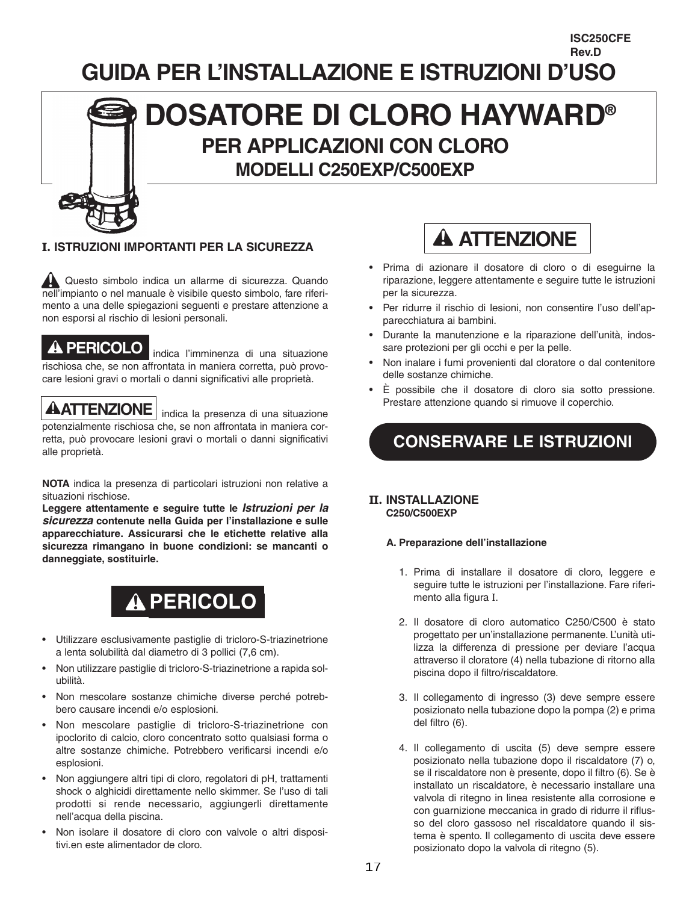# **GUIDA PER L'INSTALLAZIONE E ISTRUZIONI D'USO**

# **DOSATORE DI CLORO HAYWARD® PER APPLICAZIONI CON CLORO MODELLI C250EXP/C500EXP**

### **I. ISTRUZIONI IMPORTANTI PER LA SICUREZZA**

Questo simbolo indica un allarme di sicurezza. Quando nell'impianto o nel manuale è visibile questo simbolo, fare riferimento a una delle spiegazioni seguenti e prestare attenzione a non esporsi al rischio di lesioni personali.

indica l'imminenza di una situazione **PERICOLO** rischiosa che, se non affrontata in maniera corretta, può provocare lesioni gravi o mortali o danni significativi alle proprietà.

**ATTENZIONE** indica la presenza di una situazione potenzialmente rischiosa che, se non affrontata in maniera corretta, può provocare lesioni gravi o mortali o danni significativi alle proprietà.

**NOTA** indica la presenza di particolari istruzioni non relative a situazioni rischiose.

**Leggere attentamente e seguire tutte le** *Istruzioni per la sicurezza* **contenute nella Guida per l'installazione e sulle apparecchiature. Assicurarsi che le etichette relative alla sicurezza rimangano in buone condizioni: se mancanti o danneggiate, sostituirle.**

# **PERICOLO**

- Utilizzare esclusivamente pastiglie di tricloro-S-triazinetrione a lenta solubilità dal diametro di 3 pollici (7,6 cm).
- Non utilizzare pastiglie di tricloro-S-triazinetrione a rapida solubilità.
- Non mescolare sostanze chimiche diverse perché potrebbero causare incendi e/o esplosioni.
- Non mescolare pastiglie di tricloro-S-triazinetrione con ipoclorito di calcio, cloro concentrato sotto qualsiasi forma o altre sostanze chimiche. Potrebbero verificarsi incendi e/o esplosioni.
- Non aggiungere altri tipi di cloro, regolatori di pH, trattamenti shock o alghicidi direttamente nello skimmer. Se l'uso di tali prodotti si rende necessario, aggiungerli direttamente nell'acqua della piscina.
- Non isolare il dosatore di cloro con valvole o altri dispositivi.en este alimentador de cloro.



**ISC250CFE Rev.D**

- Prima di azionare il dosatore di cloro o di eseguirne la riparazione, leggere attentamente e seguire tutte le istruzioni per la sicurezza.
- Per ridurre il rischio di lesioni, non consentire l'uso dell'apparecchiatura ai bambini.
- Durante la manutenzione e la riparazione dell'unità, indossare protezioni per gli occhi e per la pelle.
- Non inalare i fumi provenienti dal cloratore o dal contenitore delle sostanze chimiche.
- È possibile che il dosatore di cloro sia sotto pressione. Prestare attenzione quando si rimuove il coperchio.

## **CONSERVARE LE ISTRUZIONI**

#### **II. INSTALLAZIONE C250/C500EXP**

#### **A. Preparazione dell'installazione**

- 1. Prima di installare il dosatore di cloro, leggere e seguire tutte le istruzioni per l'installazione. Fare riferimento alla figura I.
- 2. Il dosatore di cloro automatico C250/C500 è stato progettato per un'installazione permanente. L'unità utilizza la differenza di pressione per deviare l'acqua attraverso il cloratore (4) nella tubazione di ritorno alla piscina dopo il filtro/riscaldatore.
- 3. Il collegamento di ingresso (3) deve sempre essere posizionato nella tubazione dopo la pompa (2) e prima del filtro (6).
- 4. Il collegamento di uscita (5) deve sempre essere posizionato nella tubazione dopo il riscaldatore (7) o, se il riscaldatore non è presente, dopo il filtro (6). Se è installato un riscaldatore, è necessario installare una valvola di ritegno in linea resistente alla corrosione e con guarnizione meccanica in grado di ridurre il riflusso del cloro gassoso nel riscaldatore quando il sistema è spento. Il collegamento di uscita deve essere posizionato dopo la valvola di ritegno (5).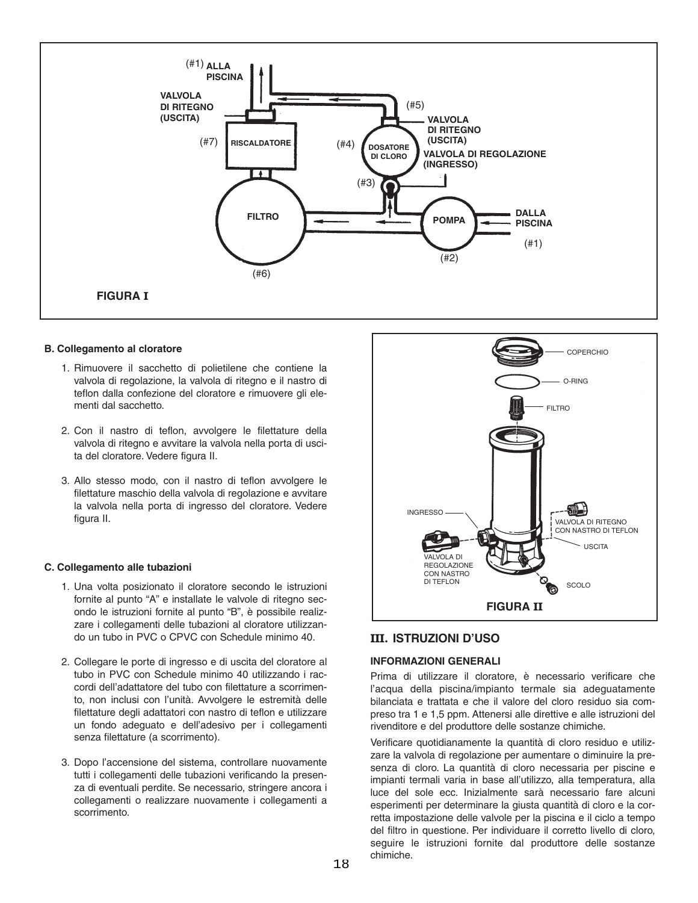

#### **B. Collegamento al cloratore**

- 1. Rimuovere il sacchetto di polietilene che contiene la valvola di regolazione, la valvola di ritegno e il nastro di teflon dalla confezione del cloratore e rimuovere gli elementi dal sacchetto.
- 2. Con il nastro di teflon, avvolgere le filettature della valvola di ritegno e avvitare la valvola nella porta di uscita del cloratore. Vedere figura II.
- 3. Allo stesso modo, con il nastro di teflon avvolgere le filettature maschio della valvola di regolazione e avvitare la valvola nella porta di ingresso del cloratore. Vedere figura II.

#### **C. Collegamento alle tubazioni**

- 1. Una volta posizionato il cloratore secondo le istruzioni fornite al punto "A" e installate le valvole di ritegno secondo le istruzioni fornite al punto "B", è possibile realizzare i collegamenti delle tubazioni al cloratore utilizzando un tubo in PVC o CPVC con Schedule minimo 40.
- 2. Collegare le porte di ingresso e di uscita del cloratore al tubo in PVC con Schedule minimo 40 utilizzando i raccordi dell'adattatore del tubo con filettature a scorrimento, non inclusi con l'unità. Avvolgere le estremità delle filettature degli adattatori con nastro di teflon e utilizzare un fondo adeguato e dell'adesivo per i collegamenti senza filettature (a scorrimento).
- 3. Dopo l'accensione del sistema, controllare nuovamente tutti i collegamenti delle tubazioni verificando la presenza di eventuali perdite. Se necessario, stringere ancora i collegamenti o realizzare nuovamente i collegamenti a scorrimento.



#### **III. ISTRUZIONI D'USO**

#### **INFORMAZIONI GENERALI**

Prima di utilizzare il cloratore, è necessario verificare che l'acqua della piscina/impianto termale sia adeguatamente bilanciata e trattata e che il valore del cloro residuo sia compreso tra 1 e 1,5 ppm. Attenersi alle direttive e alle istruzioni del rivenditore e del produttore delle sostanze chimiche.

Verificare quotidianamente la quantità di cloro residuo e utilizzare la valvola di regolazione per aumentare o diminuire la presenza di cloro. La quantità di cloro necessaria per piscine e impianti termali varia in base all'utilizzo, alla temperatura, alla luce del sole ecc. Inizialmente sarà necessario fare alcuni esperimenti per determinare la giusta quantità di cloro e la corretta impostazione delle valvole per la piscina e il ciclo a tempo del filtro in questione. Per individuare il corretto livello di cloro, seguire le istruzioni fornite dal produttore delle sostanze chimiche.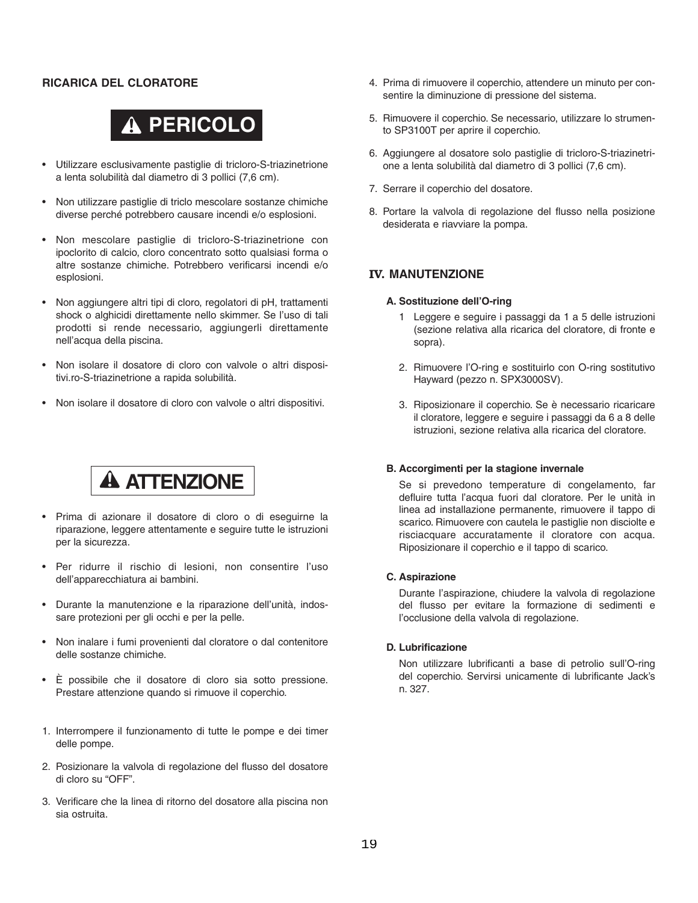#### **RICARICA DEL CLORATORE**

# **PERICOLO**

- Utilizzare esclusivamente pastiglie di tricloro-S-triazinetrione a lenta solubilità dal diametro di 3 pollici (7,6 cm).
- Non utilizzare pastiglie di triclo mescolare sostanze chimiche diverse perché potrebbero causare incendi e/o esplosioni.
- Non mescolare pastiglie di tricloro-S-triazinetrione con ipoclorito di calcio, cloro concentrato sotto qualsiasi forma o altre sostanze chimiche. Potrebbero verificarsi incendi e/o esplosioni.
- Non aggiungere altri tipi di cloro, regolatori di pH, trattamenti shock o alghicidi direttamente nello skimmer. Se l'uso di tali prodotti si rende necessario, aggiungerli direttamente nell'acqua della piscina.
- Non isolare il dosatore di cloro con valvole o altri dispositivi.ro-S-triazinetrione a rapida solubilità.
- Non isolare il dosatore di cloro con valvole o altri dispositivi.

# **A ATTENZIONE**

- Prima di azionare il dosatore di cloro o di eseguirne la riparazione, leggere attentamente e seguire tutte le istruzioni per la sicurezza.
- Per ridurre il rischio di lesioni, non consentire l'uso dell'apparecchiatura ai bambini.
- Durante la manutenzione e la riparazione dell'unità, indossare protezioni per gli occhi e per la pelle.
- Non inalare i fumi provenienti dal cloratore o dal contenitore delle sostanze chimiche.
- È possibile che il dosatore di cloro sia sotto pressione. Prestare attenzione quando si rimuove il coperchio.
- 1. Interrompere il funzionamento di tutte le pompe e dei timer delle pompe.
- 2. Posizionare la valvola di regolazione del flusso del dosatore di cloro su "OFF".
- 3. Verificare che la linea di ritorno del dosatore alla piscina non sia ostruita.
- 4. Prima di rimuovere il coperchio, attendere un minuto per consentire la diminuzione di pressione del sistema.
- 5. Rimuovere il coperchio. Se necessario, utilizzare lo strumento SP3100T per aprire il coperchio.
- 6. Aggiungere al dosatore solo pastiglie di tricloro-S-triazinetrione a lenta solubilità dal diametro di 3 pollici (7,6 cm).
- 7. Serrare il coperchio del dosatore.
- 8. Portare la valvola di regolazione del flusso nella posizione desiderata e riavviare la pompa.

#### **IV. MANUTENZIONE**

#### **A. Sostituzione dell'O-ring**

- 1 Leggere e seguire i passaggi da 1 a 5 delle istruzioni (sezione relativa alla ricarica del cloratore, di fronte e sopra).
- 2. Rimuovere l'O-ring e sostituirlo con O-ring sostitutivo Hayward (pezzo n. SPX3000SV).
- 3. Riposizionare il coperchio. Se è necessario ricaricare il cloratore, leggere e seguire i passaggi da 6 a 8 delle istruzioni, sezione relativa alla ricarica del cloratore.

#### **B. Accorgimenti per la stagione invernale**

Se si prevedono temperature di congelamento, far defluire tutta l'acqua fuori dal cloratore. Per le unità in linea ad installazione permanente, rimuovere il tappo di scarico. Rimuovere con cautela le pastiglie non disciolte e risciacquare accuratamente il cloratore con acqua. Riposizionare il coperchio e il tappo di scarico.

#### **C. Aspirazione**

Durante l'aspirazione, chiudere la valvola di regolazione del flusso per evitare la formazione di sedimenti e l'occlusione della valvola di regolazione.

#### **D. Lubrificazione**

Non utilizzare lubrificanti a base di petrolio sull'O-ring del coperchio. Servirsi unicamente di lubrificante Jack's n. 327.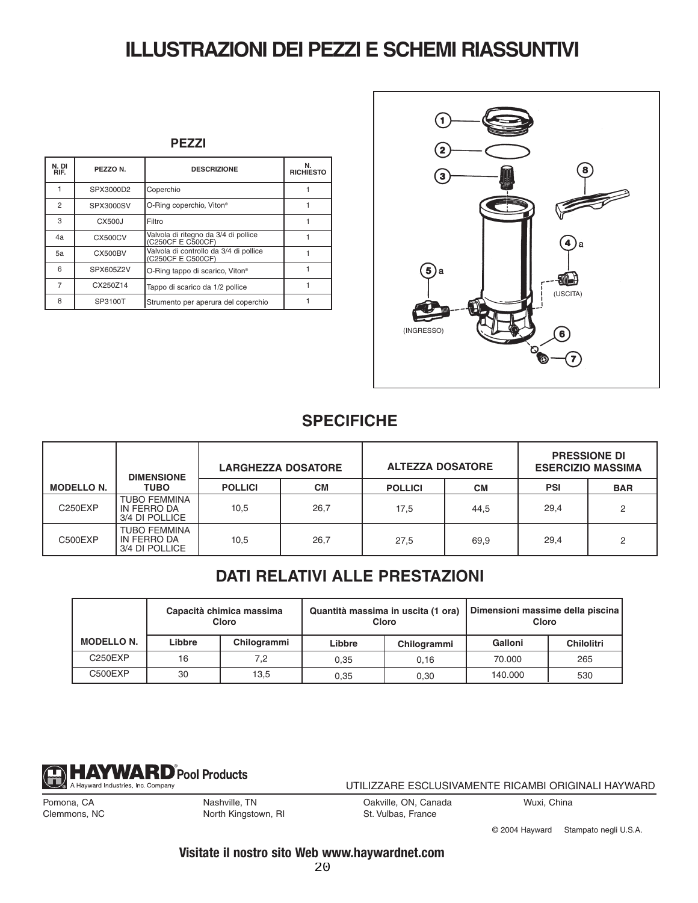# **ILLUSTRAZIONI DEI PEZZI E SCHEMI RIASSUNTIVI**

|--|--|

| N.DI<br>RIF.   | PEZZO N.       | <b>DESCRIZIONE</b>                                          | <b>RICHIESTO</b> |
|----------------|----------------|-------------------------------------------------------------|------------------|
|                | SPX3000D2      | Coperchio                                                   |                  |
| $\overline{c}$ | SPX3000SV      | O-Ring coperchio, Viton®                                    |                  |
| 3              | CX500J         | Filtro                                                      |                  |
| 4a             | CX500CV        | Valvola di ritegno da 3/4 di pollice<br>(C250CF E C500CF)   |                  |
| 5a             | <b>CX500BV</b> | Valvola di controllo da 3/4 di pollice<br>(C250CF E C500CF) |                  |
| 6              | SPX605Z2V      | O-Ring tappo di scarico, Viton <sup>®</sup>                 |                  |
| 7              | CX250Z14       | Tappo di scarico da 1/2 pollice                             |                  |
| 8              | SP3100T        | Strumento per aperura del coperchio                         |                  |



### **SPECIFICHE**

|                   | <b>DIMENSIONE</b>                                    | <b>LARGHEZZA DOSATORE</b> |           | <b>ALTEZZA DOSATORE</b> |           | <b>PRESSIONE DI</b><br><b>ESERCIZIO MASSIMA</b> |                |
|-------------------|------------------------------------------------------|---------------------------|-----------|-------------------------|-----------|-------------------------------------------------|----------------|
| <b>MODELLO N.</b> | <b>TUBO</b>                                          | <b>POLLICI</b>            | <b>CM</b> | <b>POLLICI</b>          | <b>CM</b> | PSI                                             | <b>BAR</b>     |
| <b>C250EXP</b>    | <b>TUBO FEMMINA</b><br>IN FERRO DA<br>3/4 DI POLLICE | 10,5                      | 26,7      | 17,5                    | 44,5      | 29,4                                            | $\overline{2}$ |
| C500EXP           | <b>TUBO FEMMINA</b><br>IN FERRO DA<br>3/4 DI POLLICE | 10,5                      | 26,7      | 27,5                    | 69,9      | 29,4                                            | 2              |

### **DATI RELATIVI ALLE PRESTAZIONI**

|                   | Capacità chimica massima<br>Cloro |             |        | Quantità massima in uscita (1 ora)<br>Cloro | Dimensioni massime della piscina<br>Cloro |                   |
|-------------------|-----------------------------------|-------------|--------|---------------------------------------------|-------------------------------------------|-------------------|
| <b>MODELLO N.</b> | Libbre                            | Chilogrammi | Libbre | Chilogrammi                                 | Galloni                                   | <b>Chilolitri</b> |
| C250EXP           | 16                                | 7.2         | 0.35   | 0.16                                        | 70.000                                    | 265               |
| C500EXP           | 30                                | 13.5        | 0.35   | 0,30                                        | 140,000                                   | 530               |



UTILIZZARE ESCLUSIVAMENTE RICAMBI ORIGINALI HAYWARD

Pomona, CA Clemmons, NC Nashville, TN North Kingstown, RI Oakville, ON, Canada St. Vulbas, France

Wuxi, China

© 2004 Hayward Stampato negli U.S.A.

**Visitate il nostro sito Web www.haywardnet.com**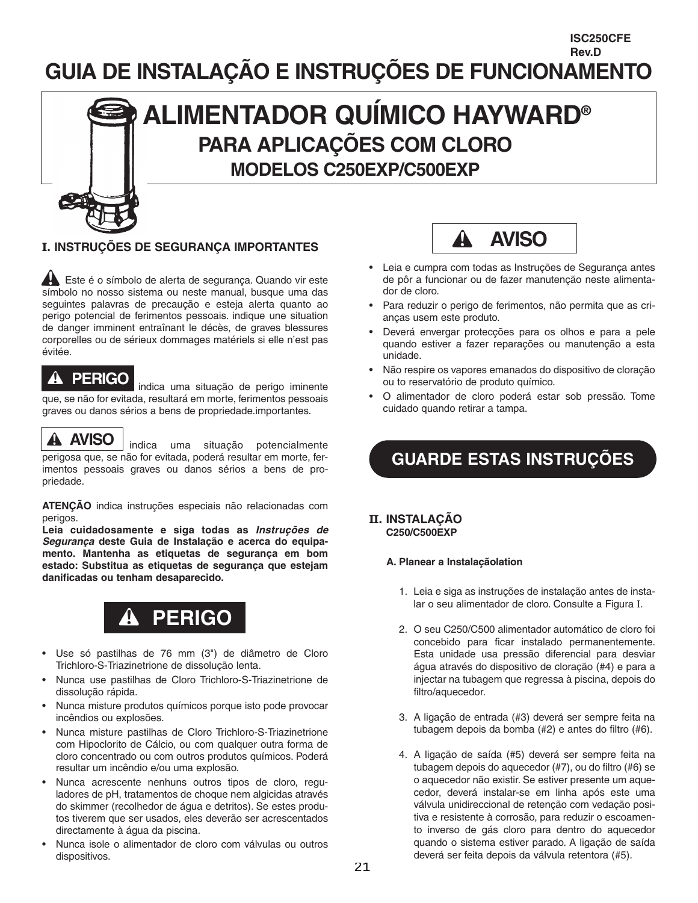### **GUIA DE INSTALAÇÃO E INSTRUÇÕES DE FUNCIONAMENTO Rev.D**



#### **I. INSTRUÇÕES DE SEGURANÇA IMPORTANTES**

Este é o símbolo de alerta de segurança. Quando vir este símbolo no nosso sistema ou neste manual, busque uma das seguintes palavras de precaução e esteja alerta quanto ao perigo potencial de ferimentos pessoais. indique une situation de danger imminent entraînant le décès, de graves blessures corporelles ou de sérieux dommages matériels si elle n'est pas évitée.

#### A **PERIGO**

indica uma situação de perigo iminente que, se não for evitada, resultará em morte, ferimentos pessoais graves ou danos sérios a bens de propriedade.importantes.

### **AVISO**

indica uma situação potencialmente perigosa que, se não for evitada, poderá resultar em morte, ferimentos pessoais graves ou danos sérios a bens de propriedade.

**ATENÇÃO** indica instruções especiais não relacionadas com perigos.

**Leia cuidadosamente e siga todas as** *Instruções de Segurança* **deste Guia de Instalação e acerca do equipamento. Mantenha as etiquetas de segurança em bom estado: Substitua as etiquetas de segurança que estejam danificadas ou tenham desaparecido.**



- Use só pastilhas de 76 mm (3") de diâmetro de Cloro Trichloro-S-Triazinetrione de dissolução lenta.
- Nunca use pastilhas de Cloro Trichloro-S-Triazinetrione de dissolução rápida.
- Nunca misture produtos químicos porque isto pode provocar incêndios ou explosões.
- Nunca misture pastilhas de Cloro Trichloro-S-Triazinetrione com Hipoclorito de Cálcio, ou com qualquer outra forma de cloro concentrado ou com outros produtos químicos. Poderá resultar um incêndio e/ou uma explosão.
- Nunca acrescente nenhuns outros tipos de cloro, reguladores de pH, tratamentos de choque nem algicidas através do skimmer (recolhedor de água e detritos). Se estes produtos tiverem que ser usados, eles deverão ser acrescentados directamente à água da piscina.
- Nunca isole o alimentador de cloro com válvulas ou outros dispositivos.



**ISC250CFE**

- Leia e cumpra com todas as Instruções de Segurança antes de pôr a funcionar ou de fazer manutenção neste alimentador de cloro.
- Para reduzir o perigo de ferimentos, não permita que as crianças usem este produto.
- Deverá envergar protecções para os olhos e para a pele quando estiver a fazer reparações ou manutenção a esta unidade.
- Não respire os vapores emanados do dispositivo de cloração ou to reservatório de produto químico.
- O alimentador de cloro poderá estar sob pressão. Tome cuidado quando retirar a tampa.

## **GUARDE ESTAS INSTRUÇÕES**

#### **II. INSTALAÇÃO C250/C500EXP**

#### **A. Planear a Instalaçãolation**

- 1. Leia e siga as instruções de instalação antes de instalar o seu alimentador de cloro. Consulte a Figura I.
- 2. O seu C250/C500 alimentador automático de cloro foi concebido para ficar instalado permanentemente. Esta unidade usa pressão diferencial para desviar água através do dispositivo de cloração (#4) e para a injectar na tubagem que regressa à piscina, depois do filtro/aquecedor.
- 3. A ligação de entrada (#3) deverá ser sempre feita na tubagem depois da bomba (#2) e antes do filtro (#6).
- 4. A ligação de saída (#5) deverá ser sempre feita na tubagem depois do aquecedor (#7), ou do filtro (#6) se o aquecedor não existir. Se estiver presente um aquecedor, deverá instalar-se em linha após este uma válvula unidireccional de retenção com vedação positiva e resistente à corrosão, para reduzir o escoamento inverso de gás cloro para dentro do aquecedor quando o sistema estiver parado. A ligação de saída deverá ser feita depois da válvula retentora (#5).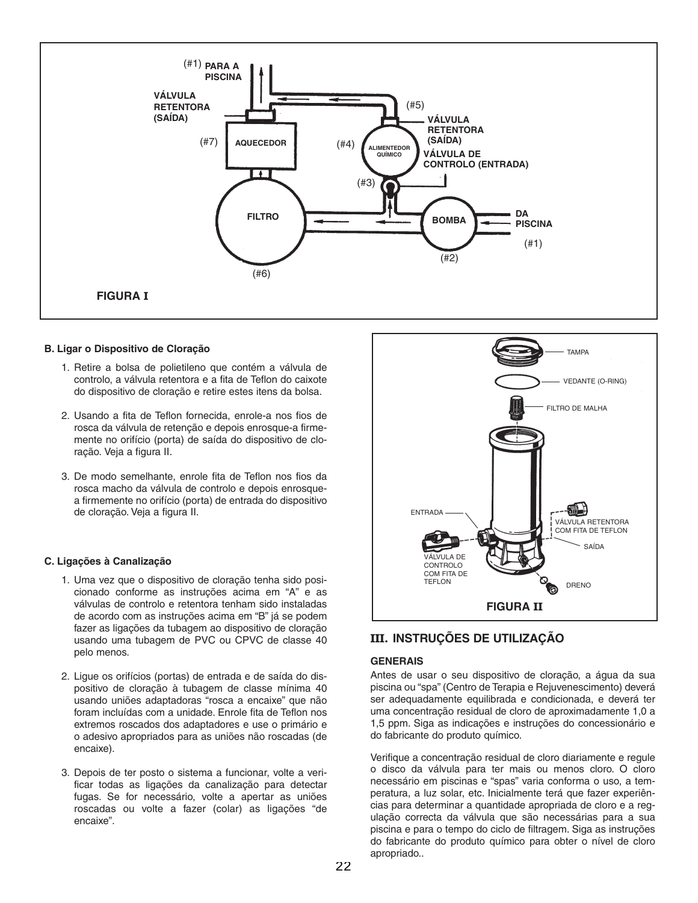

#### **B. Ligar o Dispositivo de Cloração**

- 1. Retire a bolsa de polietileno que contém a válvula de controlo, a válvula retentora e a fita de Teflon do caixote do dispositivo de cloração e retire estes itens da bolsa.
- 2. Usando a fita de Teflon fornecida, enrole-a nos fios de rosca da válvula de retenção e depois enrosque-a firmemente no orifício (porta) de saída do dispositivo de cloração. Veja a figura II.
- 3. De modo semelhante, enrole fita de Teflon nos fios da rosca macho da válvula de controlo e depois enrosquea firmemente no orifício (porta) de entrada do dispositivo de cloração. Veja a figura II.

#### **C. Ligações à Canalização**

- 1. Uma vez que o dispositivo de cloração tenha sido posicionado conforme as instruções acima em "A" e as válvulas de controlo e retentora tenham sido instaladas de acordo com as instruções acima em "B" já se podem fazer as ligações da tubagem ao dispositivo de cloração usando uma tubagem de PVC ou CPVC de classe 40 pelo menos.
- 2. Ligue os orifícios (portas) de entrada e de saída do dispositivo de cloração à tubagem de classe mínima 40 usando uniões adaptadoras "rosca a encaixe" que não foram incluídas com a unidade. Enrole fita de Teflon nos extremos roscados dos adaptadores e use o primário e o adesivo apropriados para as uniões não roscadas (de encaixe).
- 3. Depois de ter posto o sistema a funcionar, volte a verificar todas as ligações da canalização para detectar fugas. Se for necessário, volte a apertar as uniões roscadas ou volte a fazer (colar) as ligações "de encaixe".



#### **III. INSTRUÇÕES DE UTILIZAÇÃO**

#### **GENERAIS**

Antes de usar o seu dispositivo de cloração, a água da sua piscina ou "spa" (Centro de Terapia e Rejuvenescimento) deverá ser adequadamente equilibrada e condicionada, e deverá ter uma concentração residual de cloro de aproximadamente 1,0 a 1,5 ppm. Siga as indicações e instruções do concessionário e do fabricante do produto químico.

Verifique a concentração residual de cloro diariamente e regule o disco da válvula para ter mais ou menos cloro. O cloro necessário em piscinas e "spas" varia conforma o uso, a temperatura, a luz solar, etc. Inicialmente terá que fazer experiências para determinar a quantidade apropriada de cloro e a regulação correcta da válvula que são necessárias para a sua piscina e para o tempo do ciclo de filtragem. Siga as instruções do fabricante do produto químico para obter o nível de cloro apropriado..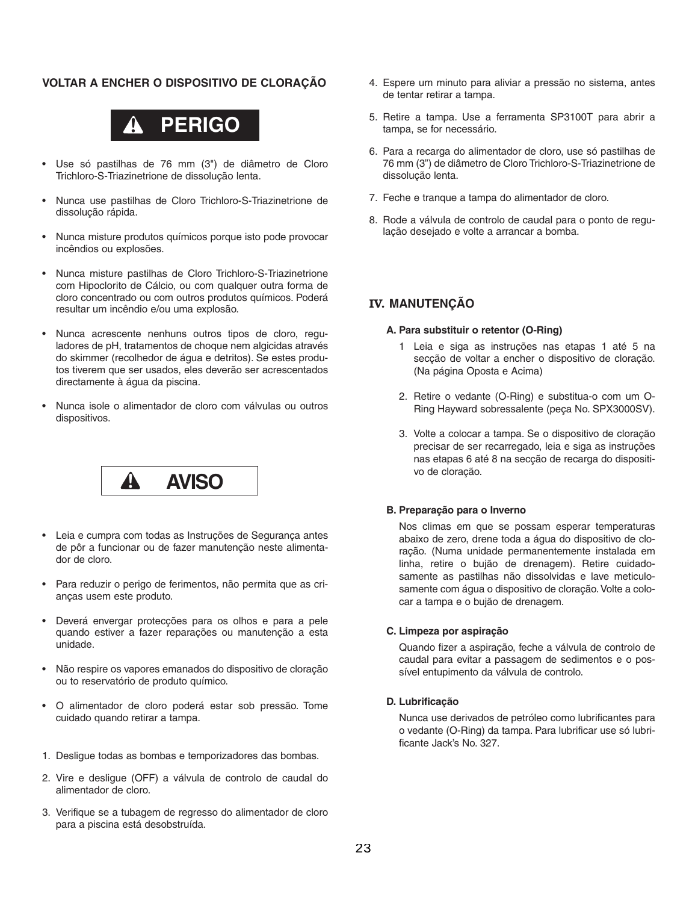#### **VOLTAR A ENCHER O DISPOSITIVO DE CLORAÇÃO**



- Use só pastilhas de 76 mm (3") de diâmetro de Cloro Trichloro-S-Triazinetrione de dissolução lenta.
- Nunca use pastilhas de Cloro Trichloro-S-Triazinetrione de dissolução rápida.
- Nunca misture produtos químicos porque isto pode provocar incêndios ou explosões.
- Nunca misture pastilhas de Cloro Trichloro-S-Triazinetrione com Hipoclorito de Cálcio, ou com qualquer outra forma de cloro concentrado ou com outros produtos químicos. Poderá resultar um incêndio e/ou uma explosão.
- Nunca acrescente nenhuns outros tipos de cloro, reguladores de pH, tratamentos de choque nem algicidas através do skimmer (recolhedor de água e detritos). Se estes produtos tiverem que ser usados, eles deverão ser acrescentados directamente à água da piscina.
- Nunca isole o alimentador de cloro com válvulas ou outros dispositivos.



- Leia e cumpra com todas as Instruções de Segurança antes de pôr a funcionar ou de fazer manutenção neste alimentador de cloro.
- Para reduzir o perigo de ferimentos, não permita que as crianças usem este produto.
- Deverá envergar protecções para os olhos e para a pele quando estiver a fazer reparações ou manutenção a esta unidade.
- Não respire os vapores emanados do dispositivo de cloração ou to reservatório de produto químico.
- O alimentador de cloro poderá estar sob pressão. Tome cuidado quando retirar a tampa.
- 1. Desligue todas as bombas e temporizadores das bombas.
- 2. Vire e desligue (OFF) a válvula de controlo de caudal do alimentador de cloro.
- 3. Verifique se a tubagem de regresso do alimentador de cloro para a piscina está desobstruída.
- 4. Espere um minuto para aliviar a pressão no sistema, antes de tentar retirar a tampa.
- 5. Retire a tampa. Use a ferramenta SP3100T para abrir a tampa, se for necessário.
- 6. Para a recarga do alimentador de cloro, use só pastilhas de 76 mm (3") de diâmetro de Cloro Trichloro-S-Triazinetrione de dissolução lenta.
- 7. Feche e tranque a tampa do alimentador de cloro.
- 8. Rode a válvula de controlo de caudal para o ponto de regulação desejado e volte a arrancar a bomba.

#### **IV. MANUTENÇÃO**

#### **A. Para substituir o retentor (O-Ring)**

- 1 Leia e siga as instruções nas etapas 1 até 5 na secção de voltar a encher o dispositivo de cloração. (Na página Oposta e Acima)
- 2. Retire o vedante (O-Ring) e substitua-o com um O-Ring Hayward sobressalente (peça No. SPX3000SV).
- 3. Volte a colocar a tampa. Se o dispositivo de cloração precisar de ser recarregado, leia e siga as instruções nas etapas 6 até 8 na secção de recarga do dispositivo de cloração.

#### **B. Preparação para o Inverno**

Nos climas em que se possam esperar temperaturas abaixo de zero, drene toda a água do dispositivo de cloração. (Numa unidade permanentemente instalada em linha, retire o bujão de drenagem). Retire cuidadosamente as pastilhas não dissolvidas e lave meticulosamente com água o dispositivo de cloração. Volte a colocar a tampa e o bujão de drenagem.

#### **C. Limpeza por aspiração**

Quando fizer a aspiração, feche a válvula de controlo de caudal para evitar a passagem de sedimentos e o possível entupimento da válvula de controlo.

#### **D. Lubrificação**

Nunca use derivados de petróleo como lubrificantes para o vedante (O-Ring) da tampa. Para lubrificar use só lubrificante Jack's No. 327.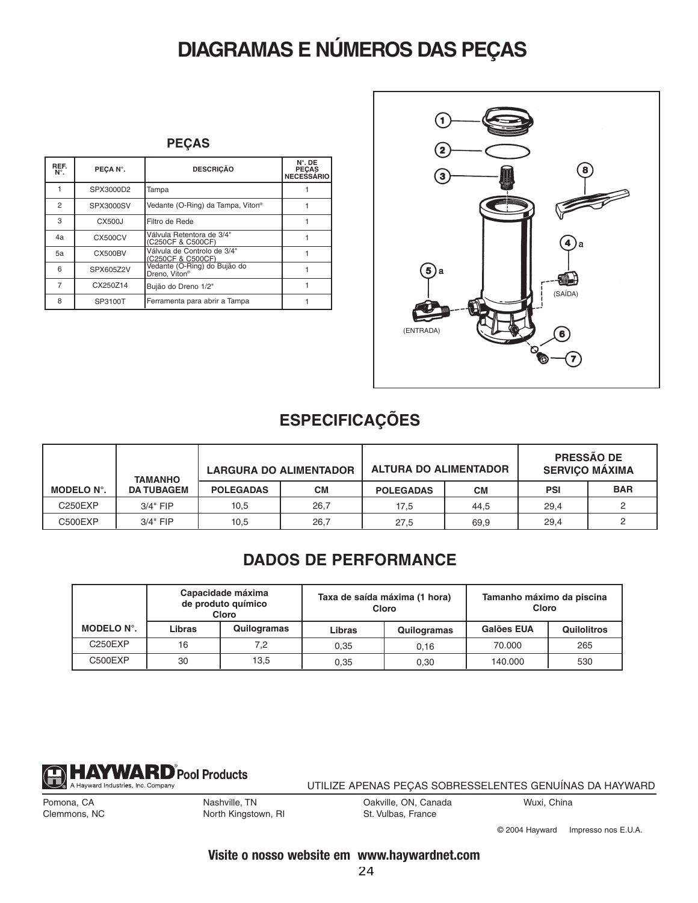# **DIAGRAMAS E NÚMEROS DAS PEÇAS**

| REF.<br>$N^{\circ}$ . | PEÇA N°.       | <b>DESCRIÇÃO</b>                                          | $N^{\circ}$ . DE<br><b>PECAS</b><br><b>NECESSÁRIO</b> |
|-----------------------|----------------|-----------------------------------------------------------|-------------------------------------------------------|
|                       | SPX3000D2      | Tampa                                                     |                                                       |
| $\overline{2}$        | SPX3000SV      | Vedante (O-Ring) da Tampa, Viton®                         |                                                       |
| 3                     | CX500J         | Filtro de Rede                                            |                                                       |
| 4a                    | CX500CV        | Válvula Retentora de 3/4"<br>(C250CF & C500CF)            |                                                       |
| 5a                    | <b>CX500BV</b> | Válvula de Controlo de 3/4"<br>(C250CF & C500CF)          |                                                       |
| 6                     | SPX605Z2V      | Vedante (O-Ring) do Bujão do<br>Dreno. Viton <sup>®</sup> |                                                       |
| 7                     | CX250Z14       | Bujão do Dreno 1/2"                                       |                                                       |
| 8                     | SP3100T        | Ferramenta para abrir a Tampa                             |                                                       |



### **ESPECIFICAÇÕES**

|                   | <b>TAMANHO</b>    | <b>LARGURA DO ALIMENTADOR</b> |           | <b>ALTURA DO ALIMENTADOR</b> |           | <b>PRESSÃO DE</b><br><b>SERVIÇO MAXIMA</b> |            |
|-------------------|-------------------|-------------------------------|-----------|------------------------------|-----------|--------------------------------------------|------------|
| <b>MODELO N°.</b> | <b>DA TUBAGEM</b> | <b>POLEGADAS</b>              | <b>CM</b> | <b>POLEGADAS</b>             | <b>CM</b> | <b>PSI</b>                                 | <b>BAR</b> |
| C250EXP           | $3/4"$ FIP        | 10,5                          | 26,7      | 17,5                         | 44.5      | 29,4                                       |            |
| C500EXP           | $3/4"$ FIP        | 10,5                          | 26.7      | 27.5                         | 69.9      | 29.4                                       |            |

### **DADOS DE PERFORMANCE**

|            | Capacidade máxima<br>de produto químico<br>Cloro |             | Taxa de saída máxima (1 hora)<br>Cloro |             | Tamanho máximo da piscina<br>Cloro |                    |
|------------|--------------------------------------------------|-------------|----------------------------------------|-------------|------------------------------------|--------------------|
| MODELO N°. | Libras                                           | Quilogramas | Libras                                 | Quilogramas | Galões EUA                         | <b>Quilolitros</b> |
| C250EXP    | 16                                               | 7,2         | 0.35                                   | 0.16        | 70.000                             | 265                |
| C500EXP    | 30                                               | 13,5        | 0.35                                   | 0.30        | 140.000                            | 530                |



UTILIZE APENAS PEÇAS SOBRESSELENTES GENUÍNAS DA HAYWARD

Pomona, CA Clemmons, NC Nashville, TN North Kingstown, RI Oakville, ON, Canada St. Vulbas, France

Wuxi, China

© 2004 Hayward Impresso nos E.U.A.

#### **Visite o nosso website em www.haywardnet.com**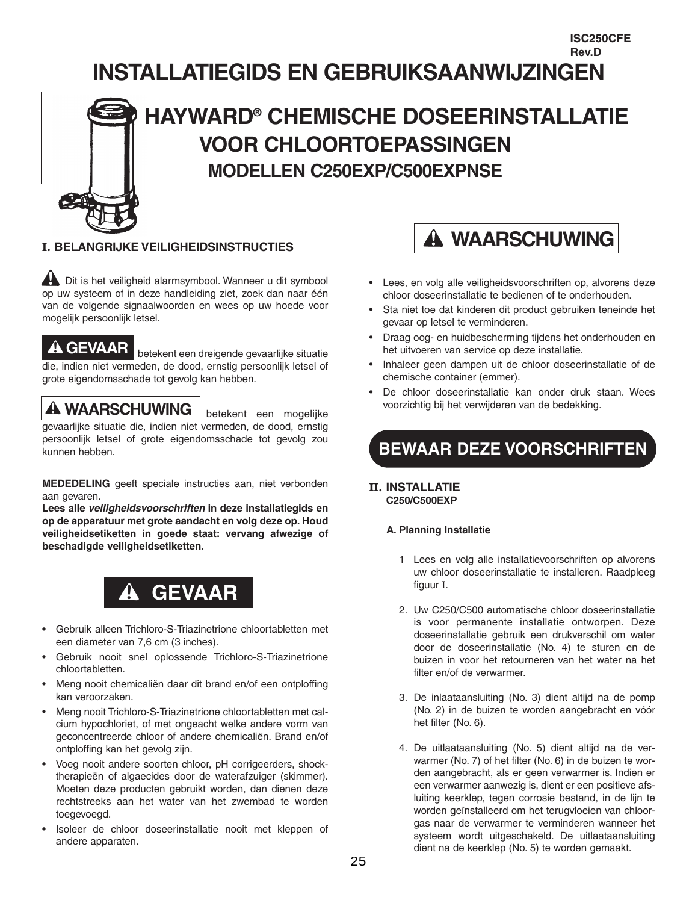### **INSTALLATIEGIDS EN GEBRUIKSAANWIJZINGEN Rev.D**

# **HAYWARD® CHEMISCHE DOSEERINSTALLATIE VOOR CHLOORTOEPASSINGEN MODELLEN C250EXP/C500EXPNSE**

### **I. BELANGRIJKE VEILIGHEIDSINSTRUCTIES**

Dit is het veiligheid alarmsymbool. Wanneer u dit symbool op uw systeem of in deze handleiding ziet, zoek dan naar één van de volgende signaalwoorden en wees op uw hoede voor mogelijk persoonlijk letsel.

GEVAAR betekent een dreigende gevaarlijke situatie die, indien niet vermeden, de dood, ernstig persoonlijk letsel of grote eigendomsschade tot gevolg kan hebben.

WAARSCHUWING betekent een mogelijke gevaarlijke situatie die, indien niet vermeden, de dood, ernstig persoonlijk letsel of grote eigendomsschade tot gevolg zou kunnen hebben.

**MEDEDELING** geeft speciale instructies aan, niet verbonden aan gevaren.

**Lees alle** *veiligheidsvoorschriften* **in deze installatiegids en op de apparatuur met grote aandacht en volg deze op. Houd veiligheidsetiketten in goede staat: vervang afwezige of beschadigde veiligheidsetiketten.**



- Gebruik alleen Trichloro-S-Triazinetrione chloortabletten met een diameter van 7,6 cm (3 inches).
- Gebruik nooit snel oplossende Trichloro-S-Triazinetrione chloortabletten.
- Meng nooit chemicaliën daar dit brand en/of een ontploffing kan veroorzaken.
- Meng nooit Trichloro-S-Triazinetrione chloortabletten met calcium hypochloriet, of met ongeacht welke andere vorm van geconcentreerde chloor of andere chemicaliën. Brand en/of ontploffing kan het gevolg zijn.
- Voeg nooit andere soorten chloor, pH corrigeerders, shocktherapieën of algaecides door de waterafzuiger (skimmer). Moeten deze producten gebruikt worden, dan dienen deze rechtstreeks aan het water van het zwembad te worden toegevoegd.
- Isoleer de chloor doseerinstallatie nooit met kleppen of andere apparaten.



**ISC250CFE**

- Lees, en volg alle veiligheidsvoorschriften op, alvorens deze chloor doseerinstallatie te bedienen of te onderhouden.
- Sta niet toe dat kinderen dit product gebruiken teneinde het gevaar op letsel te verminderen.
- Draag oog- en huidbescherming tijdens het onderhouden en het uitvoeren van service op deze installatie.
- Inhaleer geen dampen uit de chloor doseerinstallatie of de chemische container (emmer).
- De chloor doseerinstallatie kan onder druk staan. Wees voorzichtig bij het verwijderen van de bedekking.

## **BEWAAR DEZE VOORSCHRIFTEN**

#### **II. INSTALLATIE C250/C500EXP**

#### **A. Planning Installatie**

- 1 Lees en volg alle installatievoorschriften op alvorens uw chloor doseerinstallatie te installeren. Raadpleeg figuur I.
- 2. Uw C250/C500 automatische chloor doseerinstallatie is voor permanente installatie ontworpen. Deze doseerinstallatie gebruik een drukverschil om water door de doseerinstallatie (No. 4) te sturen en de buizen in voor het retourneren van het water na het filter en/of de verwarmer.
- 3. De inlaataansluiting (No. 3) dient altijd na de pomp (No. 2) in de buizen te worden aangebracht en vóór het filter (No. 6).
- 4. De uitlaataansluiting (No. 5) dient altijd na de verwarmer (No. 7) of het filter (No. 6) in de buizen te worden aangebracht, als er geen verwarmer is. Indien er een verwarmer aanwezig is, dient er een positieve afsluiting keerklep, tegen corrosie bestand, in de lijn te worden geïnstalleerd om het terugvloeien van chloorgas naar de verwarmer te verminderen wanneer het systeem wordt uitgeschakeld. De uitlaataansluiting dient na de keerklep (No. 5) te worden gemaakt.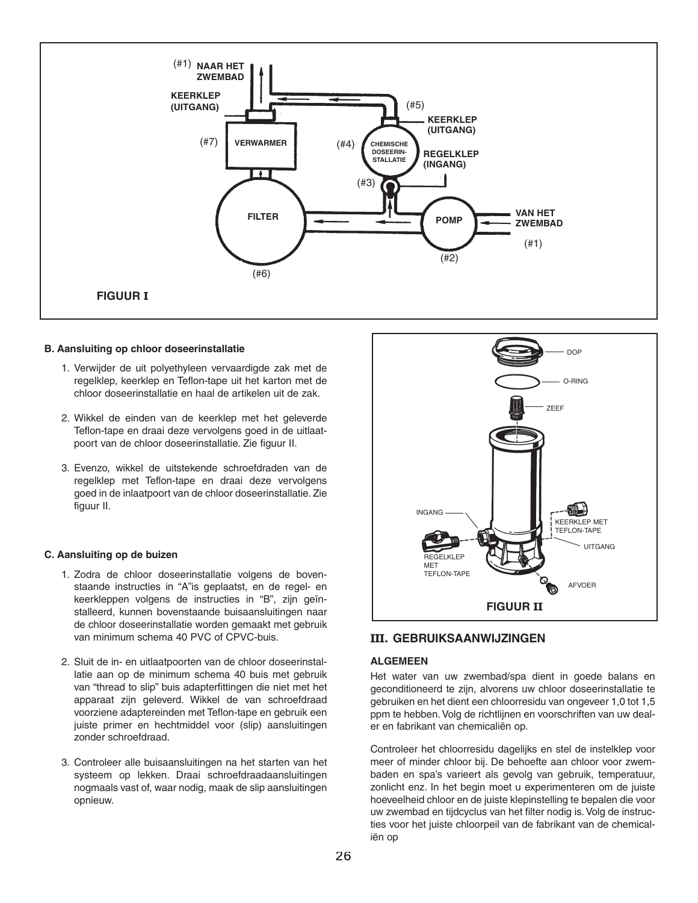

#### **B. Aansluiting op chloor doseerinstallatie**

- 1. Verwijder de uit polyethyleen vervaardigde zak met de regelklep, keerklep en Teflon-tape uit het karton met de chloor doseerinstallatie en haal de artikelen uit de zak.
- 2. Wikkel de einden van de keerklep met het geleverde Teflon-tape en draai deze vervolgens goed in de uitlaatpoort van de chloor doseerinstallatie. Zie figuur II.
- 3. Evenzo, wikkel de uitstekende schroefdraden van de regelklep met Teflon-tape en draai deze vervolgens goed in de inlaatpoort van de chloor doseerinstallatie. Zie figuur II.

#### **C. Aansluiting op de buizen**

- 1. Zodra de chloor doseerinstallatie volgens de bovenstaande instructies in "A"is geplaatst, en de regel- en keerkleppen volgens de instructies in "B", zijn geïnstalleerd, kunnen bovenstaande buisaansluitingen naar de chloor doseerinstallatie worden gemaakt met gebruik van minimum schema 40 PVC of CPVC-buis.
- 2. Sluit de in- en uitlaatpoorten van de chloor doseerinstallatie aan op de minimum schema 40 buis met gebruik van "thread to slip" buis adapterfittingen die niet met het apparaat zijn geleverd. Wikkel de van schroefdraad voorziene adaptereinden met Teflon-tape en gebruik een juiste primer en hechtmiddel voor (slip) aansluitingen zonder schroefdraad.
- 3. Controleer alle buisaansluitingen na het starten van het systeem op lekken. Draai schroefdraadaansluitingen nogmaals vast of, waar nodig, maak de slip aansluitingen opnieuw.



#### **III. GEBRUIKSAANWIJZINGEN**

#### **ALGEMEEN**

Het water van uw zwembad/spa dient in goede balans en geconditioneerd te zijn, alvorens uw chloor doseerinstallatie te gebruiken en het dient een chloorresidu van ongeveer 1,0 tot 1,5 ppm te hebben. Volg de richtlijnen en voorschriften van uw dealer en fabrikant van chemicaliën op.

Controleer het chloorresidu dagelijks en stel de instelklep voor meer of minder chloor bij. De behoefte aan chloor voor zwembaden en spa's varieert als gevolg van gebruik, temperatuur, zonlicht enz. In het begin moet u experimenteren om de juiste hoeveelheid chloor en de juiste klepinstelling te bepalen die voor uw zwembad en tijdcyclus van het filter nodig is. Volg de instructies voor het juiste chloorpeil van de fabrikant van de chemicaliën op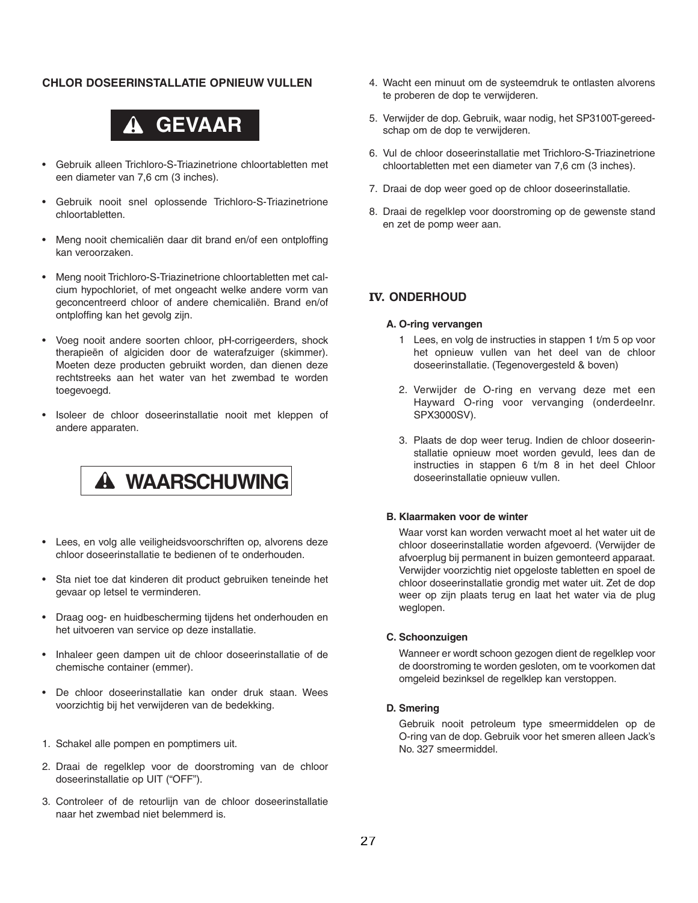#### **CHLOR DOSEERINSTALLATIE OPNIEUW VULLEN**



- Gebruik alleen Trichloro-S-Triazinetrione chloortabletten met een diameter van 7,6 cm (3 inches).
- Gebruik nooit snel oplossende Trichloro-S-Triazinetrione chloortabletten.
- Meng nooit chemicaliën daar dit brand en/of een ontploffing kan veroorzaken.
- Meng nooit Trichloro-S-Triazinetrione chloortabletten met calcium hypochloriet, of met ongeacht welke andere vorm van geconcentreerd chloor of andere chemicaliën. Brand en/of ontploffing kan het gevolg zijn.
- Voeg nooit andere soorten chloor, pH-corrigeerders, shock therapieën of algiciden door de waterafzuiger (skimmer). Moeten deze producten gebruikt worden, dan dienen deze rechtstreeks aan het water van het zwembad te worden toegevoegd.
- Isoleer de chloor doseerinstallatie nooit met kleppen of andere apparaten.

# **WAARSCHUWING**

- Lees, en volg alle veiligheidsvoorschriften op, alvorens deze chloor doseerinstallatie te bedienen of te onderhouden.
- Sta niet toe dat kinderen dit product gebruiken teneinde het gevaar op letsel te verminderen.
- Draag oog- en huidbescherming tijdens het onderhouden en het uitvoeren van service op deze installatie.
- Inhaleer geen dampen uit de chloor doseerinstallatie of de chemische container (emmer).
- De chloor doseerinstallatie kan onder druk staan. Wees voorzichtig bij het verwijderen van de bedekking.
- 1. Schakel alle pompen en pomptimers uit.
- 2. Draai de regelklep voor de doorstroming van de chloor doseerinstallatie op UIT ("OFF").
- 3. Controleer of de retourlijn van de chloor doseerinstallatie naar het zwembad niet belemmerd is.
- 4. Wacht een minuut om de systeemdruk te ontlasten alvorens te proberen de dop te verwijderen.
- 5. Verwijder de dop. Gebruik, waar nodig, het SP3100T-gereedschap om de dop te verwijderen.
- 6. Vul de chloor doseerinstallatie met Trichloro-S-Triazinetrione chloortabletten met een diameter van 7,6 cm (3 inches).
- 7. Draai de dop weer goed op de chloor doseerinstallatie.
- 8. Draai de regelklep voor doorstroming op de gewenste stand en zet de pomp weer aan.

#### **IV. ONDERHOUD**

#### **A. O-ring vervangen**

- 1 Lees, en volg de instructies in stappen 1 t/m 5 op voor het opnieuw vullen van het deel van de chloor doseerinstallatie. (Tegenovergesteld & boven)
- 2. Verwijder de O-ring en vervang deze met een Hayward O-ring voor vervanging (onderdeelnr. SPX3000SV).
- 3. Plaats de dop weer terug. Indien de chloor doseerinstallatie opnieuw moet worden gevuld, lees dan de instructies in stappen 6 t/m 8 in het deel Chloor doseerinstallatie opnieuw vullen.

#### **B. Klaarmaken voor de winter**

Waar vorst kan worden verwacht moet al het water uit de chloor doseerinstallatie worden afgevoerd. (Verwijder de afvoerplug bij permanent in buizen gemonteerd apparaat. Verwijder voorzichtig niet opgeloste tabletten en spoel de chloor doseerinstallatie grondig met water uit. Zet de dop weer op zijn plaats terug en laat het water via de plug weglopen.

#### **C. Schoonzuigen**

Wanneer er wordt schoon gezogen dient de regelklep voor de doorstroming te worden gesloten, om te voorkomen dat omgeleid bezinksel de regelklep kan verstoppen.

#### **D. Smering**

Gebruik nooit petroleum type smeermiddelen op de O-ring van de dop. Gebruik voor het smeren alleen Jack's No. 327 smeermiddel.